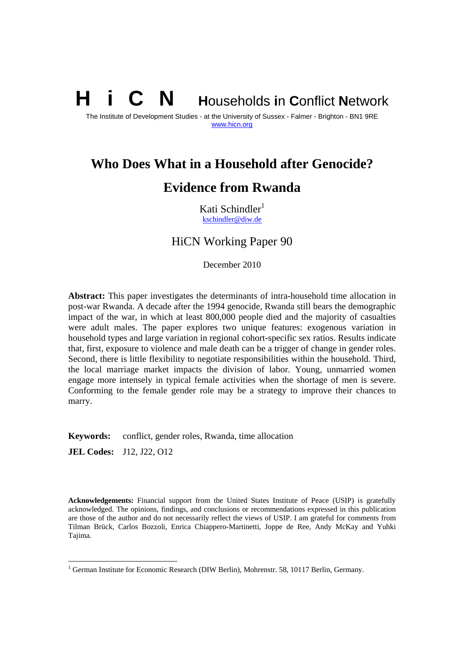# **N** Households in Conflict Network

The Institute of Development Studies - at the University of Sussex - Falmer - Brighton - BN1 9RE www.hicn.org

## **Who Does What in a Household after Genocide? Evidence from Rwanda**

Kati Schindler $<sup>1</sup>$ </sup> kschindler@diw.de

#### HiCN Working Paper 90

December 2010

**Abstract:** This paper investigates the determinants of intra-household time allocation in post-war Rwanda. A decade after the 1994 genocide, Rwanda still bears the demographic impact of the war, in which at least 800,000 people died and the majority of casualties were adult males. The paper explores two unique features: exogenous variation in household types and large variation in regional cohort-specific sex ratios. Results indicate that, first, exposure to violence and male death can be a trigger of change in gender roles. Second, there is little flexibility to negotiate responsibilities within the household. Third, the local marriage market impacts the division of labor. Young, unmarried women engage more intensely in typical female activities when the shortage of men is severe. Conforming to the female gender role may be a strategy to improve their chances to marry.

**Keywords:** conflict, gender roles, Rwanda, time allocation

**JEL Codes:** J12, J22, O12

 $\overline{a}$ 

**Acknowledgements:** Financial support from the United States Institute of Peace (USIP) is gratefully acknowledged. The opinions, findings, and conclusions or recommendations expressed in this publication are those of the author and do not necessarily reflect the views of USIP. I am grateful for comments from Tilman Brück, Carlos Bozzoli, Enrica Chiappero-Martinetti, Joppe de Ree, Andy McKay and Yuhki Tajima.

<sup>&</sup>lt;sup>1</sup> German Institute for Economic Research (DIW Berlin), Mohrenstr. 58, 10117 Berlin, Germany.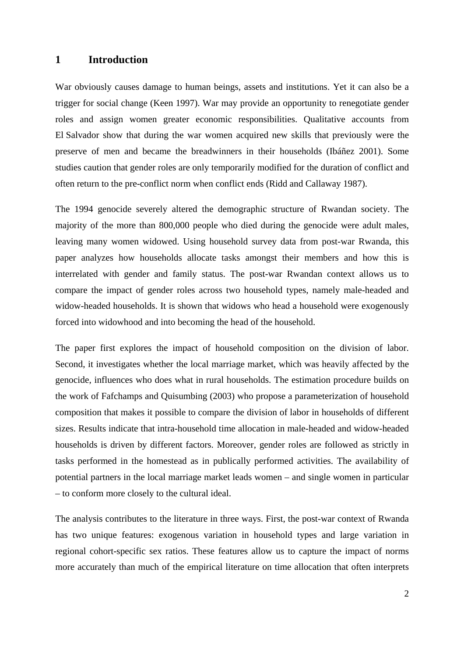#### **1 Introduction**

War obviously causes damage to human beings, assets and institutions. Yet it can also be a trigger for social change (Keen 1997). War may provide an opportunity to renegotiate gender roles and assign women greater economic responsibilities. Qualitative accounts from El Salvador show that during the war women acquired new skills that previously were the preserve of men and became the breadwinners in their households (Ibáñez 2001). Some studies caution that gender roles are only temporarily modified for the duration of conflict and often return to the pre-conflict norm when conflict ends (Ridd and Callaway 1987).

The 1994 genocide severely altered the demographic structure of Rwandan society. The majority of the more than 800,000 people who died during the genocide were adult males, leaving many women widowed. Using household survey data from post-war Rwanda, this paper analyzes how households allocate tasks amongst their members and how this is interrelated with gender and family status. The post-war Rwandan context allows us to compare the impact of gender roles across two household types, namely male-headed and widow-headed households. It is shown that widows who head a household were exogenously forced into widowhood and into becoming the head of the household.

The paper first explores the impact of household composition on the division of labor. Second, it investigates whether the local marriage market, which was heavily affected by the genocide, influences who does what in rural households. The estimation procedure builds on the work of Fafchamps and Quisumbing (2003) who propose a parameterization of household composition that makes it possible to compare the division of labor in households of different sizes. Results indicate that intra-household time allocation in male-headed and widow-headed households is driven by different factors. Moreover, gender roles are followed as strictly in tasks performed in the homestead as in publically performed activities. The availability of potential partners in the local marriage market leads women – and single women in particular – to conform more closely to the cultural ideal.

The analysis contributes to the literature in three ways. First, the post-war context of Rwanda has two unique features: exogenous variation in household types and large variation in regional cohort-specific sex ratios. These features allow us to capture the impact of norms more accurately than much of the empirical literature on time allocation that often interprets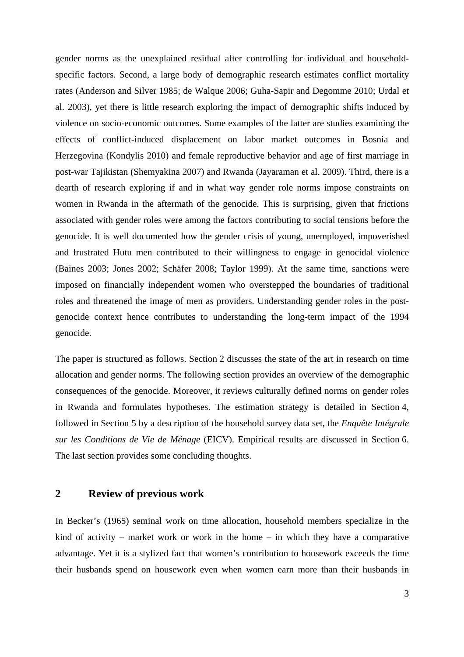gender norms as the unexplained residual after controlling for individual and householdspecific factors. Second, a large body of demographic research estimates conflict mortality rates (Anderson and Silver 1985; de Walque 2006; Guha-Sapir and Degomme 2010; Urdal et al. 2003), yet there is little research exploring the impact of demographic shifts induced by violence on socio-economic outcomes. Some examples of the latter are studies examining the effects of conflict-induced displacement on labor market outcomes in Bosnia and Herzegovina (Kondylis 2010) and female reproductive behavior and age of first marriage in post-war Tajikistan (Shemyakina 2007) and Rwanda (Jayaraman et al. 2009). Third, there is a dearth of research exploring if and in what way gender role norms impose constraints on women in Rwanda in the aftermath of the genocide. This is surprising, given that frictions associated with gender roles were among the factors contributing to social tensions before the genocide. It is well documented how the gender crisis of young, unemployed, impoverished and frustrated Hutu men contributed to their willingness to engage in genocidal violence (Baines 2003; Jones 2002; Schäfer 2008; Taylor 1999). At the same time, sanctions were imposed on financially independent women who overstepped the boundaries of traditional roles and threatened the image of men as providers. Understanding gender roles in the postgenocide context hence contributes to understanding the long-term impact of the 1994 genocide.

The paper is structured as follows. Section 2 discusses the state of the art in research on time allocation and gender norms. The following section provides an overview of the demographic consequences of the genocide. Moreover, it reviews culturally defined norms on gender roles in Rwanda and formulates hypotheses. The estimation strategy is detailed in Section 4, followed in Section 5 by a description of the household survey data set, the *Enquête Intégrale sur les Conditions de Vie de Ménage* (EICV). Empirical results are discussed in Section 6. The last section provides some concluding thoughts.

#### **2 Review of previous work**

In Becker's (1965) seminal work on time allocation, household members specialize in the kind of activity – market work or work in the home – in which they have a comparative advantage. Yet it is a stylized fact that women's contribution to housework exceeds the time their husbands spend on housework even when women earn more than their husbands in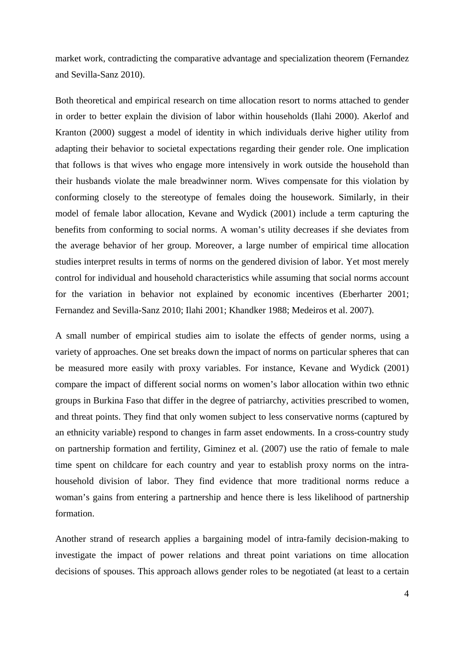market work, contradicting the comparative advantage and specialization theorem (Fernandez and Sevilla-Sanz 2010).

Both theoretical and empirical research on time allocation resort to norms attached to gender in order to better explain the division of labor within households (Ilahi 2000). Akerlof and Kranton (2000) suggest a model of identity in which individuals derive higher utility from adapting their behavior to societal expectations regarding their gender role. One implication that follows is that wives who engage more intensively in work outside the household than their husbands violate the male breadwinner norm. Wives compensate for this violation by conforming closely to the stereotype of females doing the housework. Similarly, in their model of female labor allocation, Kevane and Wydick (2001) include a term capturing the benefits from conforming to social norms. A woman's utility decreases if she deviates from the average behavior of her group. Moreover, a large number of empirical time allocation studies interpret results in terms of norms on the gendered division of labor. Yet most merely control for individual and household characteristics while assuming that social norms account for the variation in behavior not explained by economic incentives (Eberharter 2001; Fernandez and Sevilla-Sanz 2010; Ilahi 2001; Khandker 1988; Medeiros et al. 2007).

A small number of empirical studies aim to isolate the effects of gender norms, using a variety of approaches. One set breaks down the impact of norms on particular spheres that can be measured more easily with proxy variables. For instance, Kevane and Wydick (2001) compare the impact of different social norms on women's labor allocation within two ethnic groups in Burkina Faso that differ in the degree of patriarchy, activities prescribed to women, and threat points. They find that only women subject to less conservative norms (captured by an ethnicity variable) respond to changes in farm asset endowments. In a cross-country study on partnership formation and fertility, Giminez et al. (2007) use the ratio of female to male time spent on childcare for each country and year to establish proxy norms on the intrahousehold division of labor. They find evidence that more traditional norms reduce a woman's gains from entering a partnership and hence there is less likelihood of partnership formation.

Another strand of research applies a bargaining model of intra-family decision-making to investigate the impact of power relations and threat point variations on time allocation decisions of spouses. This approach allows gender roles to be negotiated (at least to a certain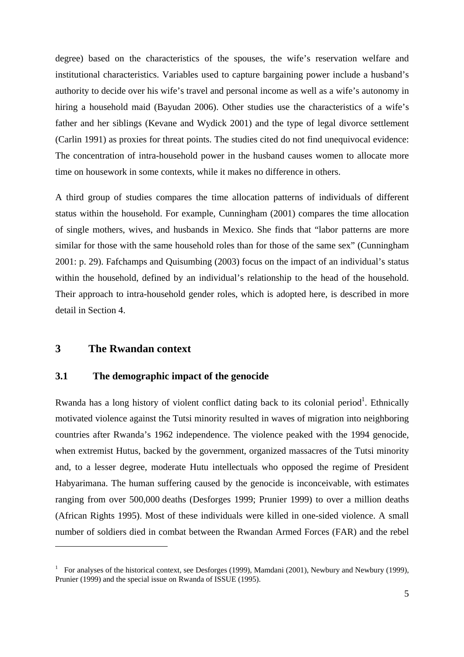degree) based on the characteristics of the spouses, the wife's reservation welfare and institutional characteristics. Variables used to capture bargaining power include a husband's authority to decide over his wife's travel and personal income as well as a wife's autonomy in hiring a household maid (Bayudan 2006). Other studies use the characteristics of a wife's father and her siblings (Kevane and Wydick 2001) and the type of legal divorce settlement (Carlin 1991) as proxies for threat points. The studies cited do not find unequivocal evidence: The concentration of intra-household power in the husband causes women to allocate more time on housework in some contexts, while it makes no difference in others.

A third group of studies compares the time allocation patterns of individuals of different status within the household. For example, Cunningham (2001) compares the time allocation of single mothers, wives, and husbands in Mexico. She finds that "labor patterns are more similar for those with the same household roles than for those of the same sex" (Cunningham 2001: p. 29). Fafchamps and Quisumbing (2003) focus on the impact of an individual's status within the household, defined by an individual's relationship to the head of the household. Their approach to intra-household gender roles, which is adopted here, is described in more detail in Section 4.

#### **3 The Rwandan context**

 $\overline{a}$ 

#### **3.1 The demographic impact of the genocide**

Rwanda has a long history of violent conflict dating back to its colonial period<sup>1</sup>. Ethnically motivated violence against the Tutsi minority resulted in waves of migration into neighboring countries after Rwanda's 1962 independence. The violence peaked with the 1994 genocide, when extremist Hutus, backed by the government, organized massacres of the Tutsi minority and, to a lesser degree, moderate Hutu intellectuals who opposed the regime of President Habyarimana. The human suffering caused by the genocide is inconceivable, with estimates ranging from over 500,000 deaths (Desforges 1999; Prunier 1999) to over a million deaths (African Rights 1995). Most of these individuals were killed in one-sided violence. A small number of soldiers died in combat between the Rwandan Armed Forces (FAR) and the rebel

<sup>&</sup>lt;sup>1</sup> For analyses of the historical context, see Desforges (1999), Mamdani (2001), Newbury and Newbury (1999), Prunier (1999) and the special issue on Rwanda of ISSUE (1995).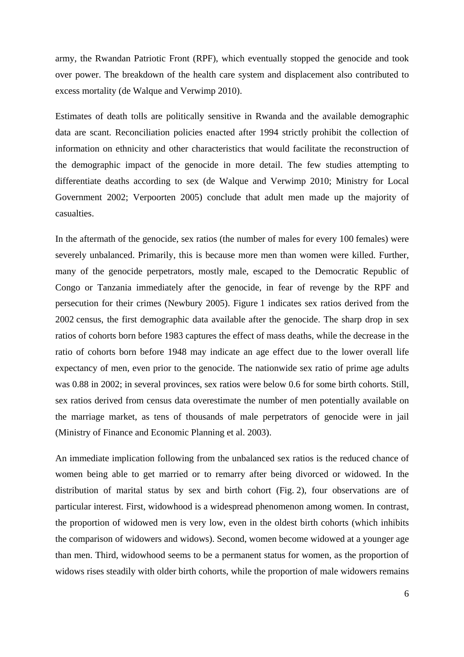army, the Rwandan Patriotic Front (RPF), which eventually stopped the genocide and took over power. The breakdown of the health care system and displacement also contributed to excess mortality (de Walque and Verwimp 2010).

Estimates of death tolls are politically sensitive in Rwanda and the available demographic data are scant. Reconciliation policies enacted after 1994 strictly prohibit the collection of information on ethnicity and other characteristics that would facilitate the reconstruction of the demographic impact of the genocide in more detail. The few studies attempting to differentiate deaths according to sex (de Walque and Verwimp 2010; Ministry for Local Government 2002; Verpoorten 2005) conclude that adult men made up the majority of casualties.

In the aftermath of the genocide, sex ratios (the number of males for every 100 females) were severely unbalanced. Primarily, this is because more men than women were killed. Further, many of the genocide perpetrators, mostly male, escaped to the Democratic Republic of Congo or Tanzania immediately after the genocide, in fear of revenge by the RPF and persecution for their crimes (Newbury 2005). Figure 1 indicates sex ratios derived from the 2002 census, the first demographic data available after the genocide. The sharp drop in sex ratios of cohorts born before 1983 captures the effect of mass deaths, while the decrease in the ratio of cohorts born before 1948 may indicate an age effect due to the lower overall life expectancy of men, even prior to the genocide. The nationwide sex ratio of prime age adults was 0.88 in 2002; in several provinces, sex ratios were below 0.6 for some birth cohorts. Still, sex ratios derived from census data overestimate the number of men potentially available on the marriage market, as tens of thousands of male perpetrators of genocide were in jail (Ministry of Finance and Economic Planning et al. 2003).

An immediate implication following from the unbalanced sex ratios is the reduced chance of women being able to get married or to remarry after being divorced or widowed. In the distribution of marital status by sex and birth cohort (Fig. 2), four observations are of particular interest. First, widowhood is a widespread phenomenon among women. In contrast, the proportion of widowed men is very low, even in the oldest birth cohorts (which inhibits the comparison of widowers and widows). Second, women become widowed at a younger age than men. Third, widowhood seems to be a permanent status for women, as the proportion of widows rises steadily with older birth cohorts, while the proportion of male widowers remains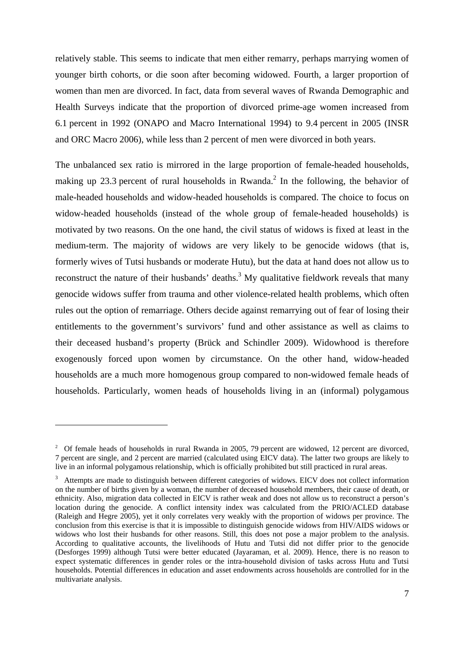relatively stable. This seems to indicate that men either remarry, perhaps marrying women of younger birth cohorts, or die soon after becoming widowed. Fourth, a larger proportion of women than men are divorced. In fact, data from several waves of Rwanda Demographic and Health Surveys indicate that the proportion of divorced prime-age women increased from 6.1 percent in 1992 (ONAPO and Macro International 1994) to 9.4 percent in 2005 (INSR and ORC Macro 2006), while less than 2 percent of men were divorced in both years.

The unbalanced sex ratio is mirrored in the large proportion of female-headed households, making up 23.3 percent of rural households in Rwanda.<sup>2</sup> In the following, the behavior of male-headed households and widow-headed households is compared. The choice to focus on widow-headed households (instead of the whole group of female-headed households) is motivated by two reasons. On the one hand, the civil status of widows is fixed at least in the medium-term. The majority of widows are very likely to be genocide widows (that is, formerly wives of Tutsi husbands or moderate Hutu), but the data at hand does not allow us to reconstruct the nature of their husbands' deaths.<sup>3</sup> My qualitative fieldwork reveals that many genocide widows suffer from trauma and other violence-related health problems, which often rules out the option of remarriage. Others decide against remarrying out of fear of losing their entitlements to the government's survivors' fund and other assistance as well as claims to their deceased husband's property (Brück and Schindler 2009). Widowhood is therefore exogenously forced upon women by circumstance. On the other hand, widow-headed households are a much more homogenous group compared to non-widowed female heads of households. Particularly, women heads of households living in an (informal) polygamous

<sup>&</sup>lt;sup>2</sup> Of female heads of households in rural Rwanda in 2005, 79 percent are widowed, 12 percent are divorced, 7 percent are single, and 2 percent are married (calculated using EICV data). The latter two groups are likely to live in an informal polygamous relationship, which is officially prohibited but still practiced in rural areas.

<sup>&</sup>lt;sup>3</sup> Attempts are made to distinguish between different categories of widows. EICV does not collect information on the number of births given by a woman, the number of deceased household members, their cause of death, or ethnicity. Also, migration data collected in EICV is rather weak and does not allow us to reconstruct a person's location during the genocide. A conflict intensity index was calculated from the PRIO/ACLED database (Raleigh and Hegre 2005), yet it only correlates very weakly with the proportion of widows per province. The conclusion from this exercise is that it is impossible to distinguish genocide widows from HIV/AIDS widows or widows who lost their husbands for other reasons. Still, this does not pose a major problem to the analysis. According to qualitative accounts, the livelihoods of Hutu and Tutsi did not differ prior to the genocide (Desforges 1999) although Tutsi were better educated (Jayaraman, et al. 2009). Hence, there is no reason to expect systematic differences in gender roles or the intra-household division of tasks across Hutu and Tutsi households. Potential differences in education and asset endowments across households are controlled for in the multivariate analysis.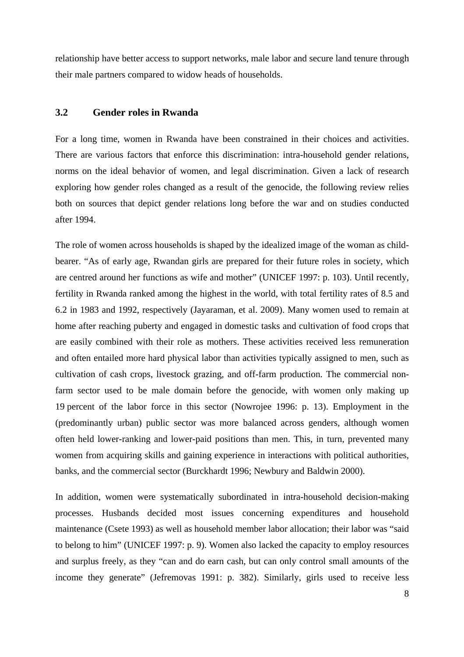relationship have better access to support networks, male labor and secure land tenure through their male partners compared to widow heads of households.

#### **3.2 Gender roles in Rwanda**

For a long time, women in Rwanda have been constrained in their choices and activities. There are various factors that enforce this discrimination: intra-household gender relations, norms on the ideal behavior of women, and legal discrimination. Given a lack of research exploring how gender roles changed as a result of the genocide, the following review relies both on sources that depict gender relations long before the war and on studies conducted after 1994.

The role of women across households is shaped by the idealized image of the woman as childbearer. "As of early age, Rwandan girls are prepared for their future roles in society, which are centred around her functions as wife and mother" (UNICEF 1997: p. 103). Until recently, fertility in Rwanda ranked among the highest in the world, with total fertility rates of 8.5 and 6.2 in 1983 and 1992, respectively (Jayaraman, et al. 2009). Many women used to remain at home after reaching puberty and engaged in domestic tasks and cultivation of food crops that are easily combined with their role as mothers. These activities received less remuneration and often entailed more hard physical labor than activities typically assigned to men, such as cultivation of cash crops, livestock grazing, and off-farm production. The commercial nonfarm sector used to be male domain before the genocide, with women only making up 19 percent of the labor force in this sector (Nowrojee 1996: p. 13). Employment in the (predominantly urban) public sector was more balanced across genders, although women often held lower-ranking and lower-paid positions than men. This, in turn, prevented many women from acquiring skills and gaining experience in interactions with political authorities, banks, and the commercial sector (Burckhardt 1996; Newbury and Baldwin 2000).

In addition, women were systematically subordinated in intra-household decision-making processes. Husbands decided most issues concerning expenditures and household maintenance (Csete 1993) as well as household member labor allocation; their labor was "said to belong to him" (UNICEF 1997: p. 9). Women also lacked the capacity to employ resources and surplus freely, as they "can and do earn cash, but can only control small amounts of the income they generate" (Jefremovas 1991: p. 382). Similarly, girls used to receive less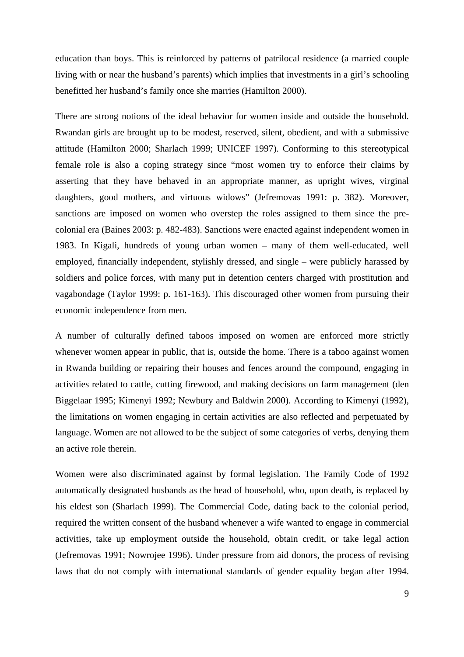education than boys. This is reinforced by patterns of patrilocal residence (a married couple living with or near the husband's parents) which implies that investments in a girl's schooling benefitted her husband's family once she marries (Hamilton 2000).

There are strong notions of the ideal behavior for women inside and outside the household. Rwandan girls are brought up to be modest, reserved, silent, obedient, and with a submissive attitude (Hamilton 2000; Sharlach 1999; UNICEF 1997). Conforming to this stereotypical female role is also a coping strategy since "most women try to enforce their claims by asserting that they have behaved in an appropriate manner, as upright wives, virginal daughters, good mothers, and virtuous widows" (Jefremovas 1991: p. 382). Moreover, sanctions are imposed on women who overstep the roles assigned to them since the precolonial era (Baines 2003: p. 482-483). Sanctions were enacted against independent women in 1983. In Kigali, hundreds of young urban women – many of them well-educated, well employed, financially independent, stylishly dressed, and single – were publicly harassed by soldiers and police forces, with many put in detention centers charged with prostitution and vagabondage (Taylor 1999: p. 161-163). This discouraged other women from pursuing their economic independence from men.

A number of culturally defined taboos imposed on women are enforced more strictly whenever women appear in public, that is, outside the home. There is a taboo against women in Rwanda building or repairing their houses and fences around the compound, engaging in activities related to cattle, cutting firewood, and making decisions on farm management (den Biggelaar 1995; Kimenyi 1992; Newbury and Baldwin 2000). According to Kimenyi (1992), the limitations on women engaging in certain activities are also reflected and perpetuated by language. Women are not allowed to be the subject of some categories of verbs, denying them an active role therein.

Women were also discriminated against by formal legislation. The Family Code of 1992 automatically designated husbands as the head of household, who, upon death, is replaced by his eldest son (Sharlach 1999). The Commercial Code, dating back to the colonial period, required the written consent of the husband whenever a wife wanted to engage in commercial activities, take up employment outside the household, obtain credit, or take legal action (Jefremovas 1991; Nowrojee 1996). Under pressure from aid donors, the process of revising laws that do not comply with international standards of gender equality began after 1994.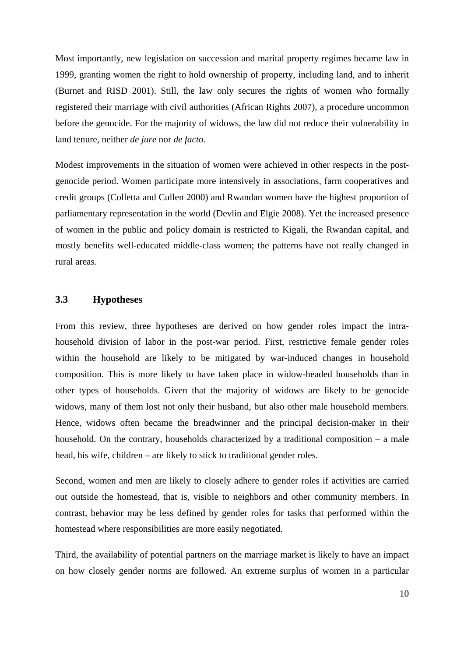Most importantly, new legislation on succession and marital property regimes became law in 1999, granting women the right to hold ownership of property, including land, and to inherit (Burnet and RISD 2001). Still, the law only secures the rights of women who formally registered their marriage with civil authorities (African Rights 2007), a procedure uncommon before the genocide. For the majority of widows, the law did not reduce their vulnerability in land tenure, neither *de jure* nor *de facto*.

Modest improvements in the situation of women were achieved in other respects in the postgenocide period. Women participate more intensively in associations, farm cooperatives and credit groups (Colletta and Cullen 2000) and Rwandan women have the highest proportion of parliamentary representation in the world (Devlin and Elgie 2008). Yet the increased presence of women in the public and policy domain is restricted to Kigali, the Rwandan capital, and mostly benefits well-educated middle-class women; the patterns have not really changed in rural areas.

#### **3.3 Hypotheses**

From this review, three hypotheses are derived on how gender roles impact the intrahousehold division of labor in the post-war period. First, restrictive female gender roles within the household are likely to be mitigated by war-induced changes in household composition. This is more likely to have taken place in widow-headed households than in other types of households. Given that the majority of widows are likely to be genocide widows, many of them lost not only their husband, but also other male household members. Hence, widows often became the breadwinner and the principal decision-maker in their household. On the contrary, households characterized by a traditional composition – a male head, his wife, children – are likely to stick to traditional gender roles.

Second, women and men are likely to closely adhere to gender roles if activities are carried out outside the homestead, that is, visible to neighbors and other community members. In contrast, behavior may be less defined by gender roles for tasks that performed within the homestead where responsibilities are more easily negotiated.

Third, the availability of potential partners on the marriage market is likely to have an impact on how closely gender norms are followed. An extreme surplus of women in a particular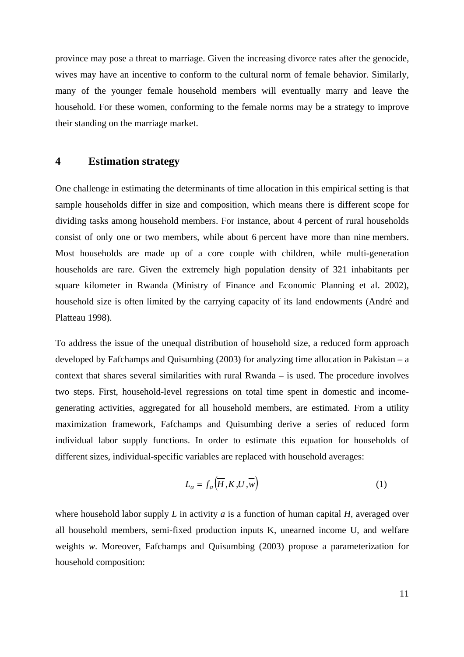province may pose a threat to marriage. Given the increasing divorce rates after the genocide, wives may have an incentive to conform to the cultural norm of female behavior. Similarly, many of the younger female household members will eventually marry and leave the household. For these women, conforming to the female norms may be a strategy to improve their standing on the marriage market.

#### **4 Estimation strategy**

One challenge in estimating the determinants of time allocation in this empirical setting is that sample households differ in size and composition, which means there is different scope for dividing tasks among household members. For instance, about 4 percent of rural households consist of only one or two members, while about 6 percent have more than nine members. Most households are made up of a core couple with children, while multi-generation households are rare. Given the extremely high population density of 321 inhabitants per square kilometer in Rwanda (Ministry of Finance and Economic Planning et al. 2002), household size is often limited by the carrying capacity of its land endowments (André and Platteau 1998).

To address the issue of the unequal distribution of household size, a reduced form approach developed by Fafchamps and Quisumbing (2003) for analyzing time allocation in Pakistan – a context that shares several similarities with rural Rwanda – is used. The procedure involves two steps. First, household-level regressions on total time spent in domestic and incomegenerating activities, aggregated for all household members, are estimated. From a utility maximization framework, Fafchamps and Quisumbing derive a series of reduced form individual labor supply functions. In order to estimate this equation for households of different sizes, individual-specific variables are replaced with household averages:

$$
L_a = f_a \left( \overline{H}, K, U, \overline{w} \right) \tag{1}
$$

where household labor supply *L* in activity *a* is a function of human capital *H*, averaged over all household members, semi-fixed production inputs K, unearned income U, and welfare weights *w*. Moreover, Fafchamps and Quisumbing (2003) propose a parameterization for household composition: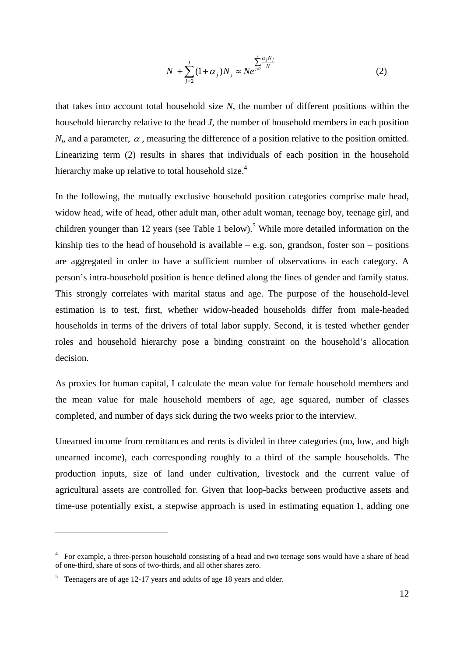$$
N_1 + \sum_{j=2}^{J} (1 + \alpha_j) N_j \approx N e^{\sum_{j=2}^{J} \frac{\alpha_j N_j}{N}}
$$
 (2)

that takes into account total household size *N*, the number of different positions within the household hierarchy relative to the head *J*, the number of household members in each position  $N_i$ , and a parameter,  $\alpha$ , measuring the difference of a position relative to the position omitted. Linearizing term (2) results in shares that individuals of each position in the household hierarchy make up relative to total household size.<sup>4</sup>

In the following, the mutually exclusive household position categories comprise male head, widow head, wife of head, other adult man, other adult woman, teenage boy, teenage girl, and children younger than 12 years (see Table 1 below).<sup>5</sup> While more detailed information on the kinship ties to the head of household is available – e.g. son, grandson, foster son – positions are aggregated in order to have a sufficient number of observations in each category. A person's intra-household position is hence defined along the lines of gender and family status. This strongly correlates with marital status and age. The purpose of the household-level estimation is to test, first, whether widow-headed households differ from male-headed households in terms of the drivers of total labor supply. Second, it is tested whether gender roles and household hierarchy pose a binding constraint on the household's allocation decision.

As proxies for human capital, I calculate the mean value for female household members and the mean value for male household members of age, age squared, number of classes completed, and number of days sick during the two weeks prior to the interview.

Unearned income from remittances and rents is divided in three categories (no, low, and high unearned income), each corresponding roughly to a third of the sample households. The production inputs, size of land under cultivation, livestock and the current value of agricultural assets are controlled for. Given that loop-backs between productive assets and time-use potentially exist, a stepwise approach is used in estimating equation 1, adding one

<sup>&</sup>lt;sup>4</sup> For example, a three-person household consisting of a head and two teenage sons would have a share of head of one-third, share of sons of two-thirds, and all other shares zero.

 $5$  Teenagers are of age 12-17 years and adults of age 18 years and older.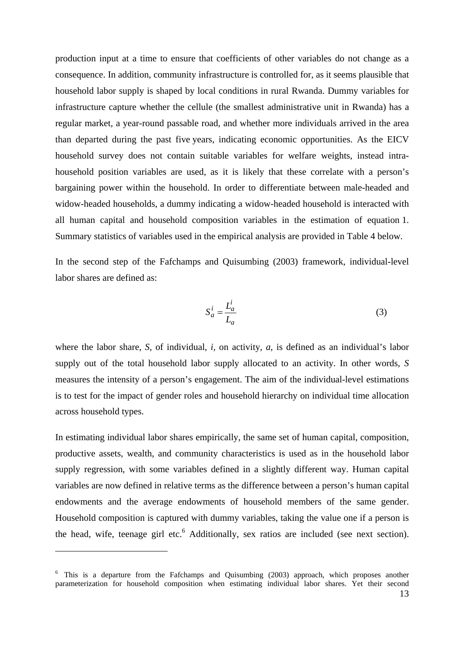production input at a time to ensure that coefficients of other variables do not change as a consequence. In addition, community infrastructure is controlled for, as it seems plausible that household labor supply is shaped by local conditions in rural Rwanda. Dummy variables for infrastructure capture whether the cellule (the smallest administrative unit in Rwanda) has a regular market, a year-round passable road, and whether more individuals arrived in the area than departed during the past five years, indicating economic opportunities. As the EICV household survey does not contain suitable variables for welfare weights, instead intrahousehold position variables are used, as it is likely that these correlate with a person's bargaining power within the household. In order to differentiate between male-headed and widow-headed households, a dummy indicating a widow-headed household is interacted with all human capital and household composition variables in the estimation of equation 1. Summary statistics of variables used in the empirical analysis are provided in Table 4 below.

In the second step of the Fafchamps and Quisumbing (2003) framework, individual-level labor shares are defined as:

$$
S_a^i = \frac{L_a^i}{L_a} \tag{3}
$$

where the labor share, *S,* of individual, *i,* on activity, *a,* is defined as an individual's labor supply out of the total household labor supply allocated to an activity. In other words, *S* measures the intensity of a person's engagement. The aim of the individual-level estimations is to test for the impact of gender roles and household hierarchy on individual time allocation across household types.

In estimating individual labor shares empirically, the same set of human capital, composition, productive assets, wealth, and community characteristics is used as in the household labor supply regression, with some variables defined in a slightly different way. Human capital variables are now defined in relative terms as the difference between a person's human capital endowments and the average endowments of household members of the same gender. Household composition is captured with dummy variables, taking the value one if a person is the head, wife, teenage girl etc.<sup>6</sup> Additionally, sex ratios are included (see next section).

<sup>&</sup>lt;sup>6</sup> This is a departure from the Fafchamps and Quisumbing (2003) approach, which proposes another parameterization for household composition when estimating individual labor shares. Yet their second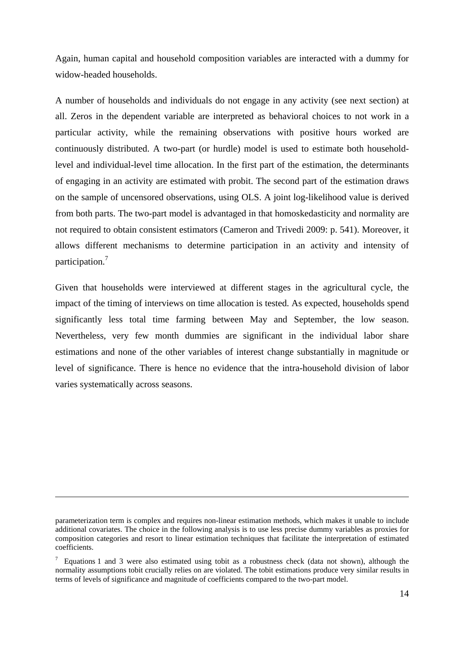Again, human capital and household composition variables are interacted with a dummy for widow-headed households.

A number of households and individuals do not engage in any activity (see next section) at all. Zeros in the dependent variable are interpreted as behavioral choices to not work in a particular activity, while the remaining observations with positive hours worked are continuously distributed. A two-part (or hurdle) model is used to estimate both householdlevel and individual-level time allocation. In the first part of the estimation, the determinants of engaging in an activity are estimated with probit. The second part of the estimation draws on the sample of uncensored observations, using OLS. A joint log-likelihood value is derived from both parts. The two-part model is advantaged in that homoskedasticity and normality are not required to obtain consistent estimators (Cameron and Trivedi 2009: p. 541). Moreover, it allows different mechanisms to determine participation in an activity and intensity of participation.<sup>7</sup>

Given that households were interviewed at different stages in the agricultural cycle, the impact of the timing of interviews on time allocation is tested. As expected, households spend significantly less total time farming between May and September, the low season. Nevertheless, very few month dummies are significant in the individual labor share estimations and none of the other variables of interest change substantially in magnitude or level of significance. There is hence no evidence that the intra-household division of labor varies systematically across seasons.

parameterization term is complex and requires non-linear estimation methods, which makes it unable to include additional covariates. The choice in the following analysis is to use less precise dummy variables as proxies for composition categories and resort to linear estimation techniques that facilitate the interpretation of estimated coefficients.

<sup>7</sup> Equations 1 and 3 were also estimated using tobit as a robustness check (data not shown), although the normality assumptions tobit crucially relies on are violated. The tobit estimations produce very similar results in terms of levels of significance and magnitude of coefficients compared to the two-part model.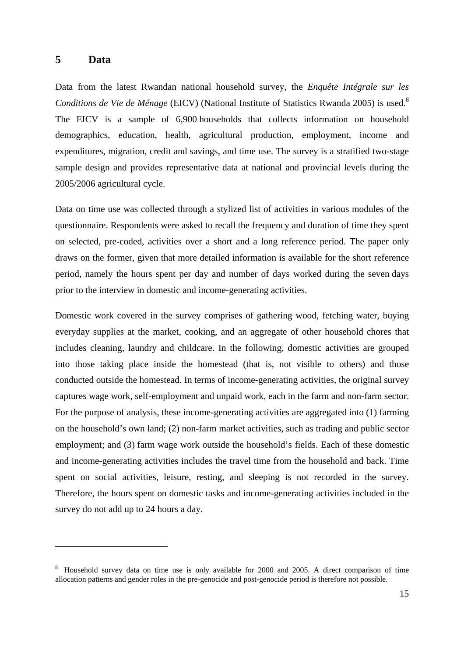#### **5 Data**

 $\overline{a}$ 

Data from the latest Rwandan national household survey, the *Enquête Intégrale sur les Conditions de Vie de Ménage* (EICV) (National Institute of Statistics Rwanda 2005) is used.<sup>8</sup> The EICV is a sample of 6,900 households that collects information on household demographics, education, health, agricultural production, employment, income and expenditures, migration, credit and savings, and time use. The survey is a stratified two-stage sample design and provides representative data at national and provincial levels during the 2005/2006 agricultural cycle.

Data on time use was collected through a stylized list of activities in various modules of the questionnaire. Respondents were asked to recall the frequency and duration of time they spent on selected, pre-coded, activities over a short and a long reference period. The paper only draws on the former, given that more detailed information is available for the short reference period, namely the hours spent per day and number of days worked during the seven days prior to the interview in domestic and income-generating activities.

Domestic work covered in the survey comprises of gathering wood, fetching water, buying everyday supplies at the market, cooking, and an aggregate of other household chores that includes cleaning, laundry and childcare. In the following, domestic activities are grouped into those taking place inside the homestead (that is, not visible to others) and those conducted outside the homestead. In terms of income-generating activities, the original survey captures wage work, self-employment and unpaid work, each in the farm and non-farm sector. For the purpose of analysis, these income-generating activities are aggregated into (1) farming on the household's own land; (2) non-farm market activities, such as trading and public sector employment; and (3) farm wage work outside the household's fields. Each of these domestic and income-generating activities includes the travel time from the household and back. Time spent on social activities, leisure, resting, and sleeping is not recorded in the survey. Therefore, the hours spent on domestic tasks and income-generating activities included in the survey do not add up to 24 hours a day.

<sup>&</sup>lt;sup>8</sup> Household survey data on time use is only available for 2000 and 2005. A direct comparison of time allocation patterns and gender roles in the pre-genocide and post-genocide period is therefore not possible.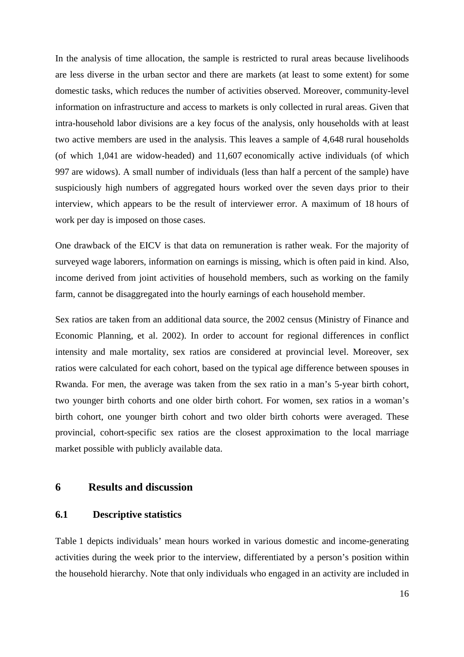In the analysis of time allocation, the sample is restricted to rural areas because livelihoods are less diverse in the urban sector and there are markets (at least to some extent) for some domestic tasks, which reduces the number of activities observed. Moreover, community-level information on infrastructure and access to markets is only collected in rural areas. Given that intra-household labor divisions are a key focus of the analysis, only households with at least two active members are used in the analysis. This leaves a sample of 4,648 rural households (of which 1,041 are widow-headed) and 11,607 economically active individuals (of which 997 are widows). A small number of individuals (less than half a percent of the sample) have suspiciously high numbers of aggregated hours worked over the seven days prior to their interview, which appears to be the result of interviewer error. A maximum of 18 hours of work per day is imposed on those cases.

One drawback of the EICV is that data on remuneration is rather weak. For the majority of surveyed wage laborers, information on earnings is missing, which is often paid in kind. Also, income derived from joint activities of household members, such as working on the family farm, cannot be disaggregated into the hourly earnings of each household member.

Sex ratios are taken from an additional data source, the 2002 census (Ministry of Finance and Economic Planning, et al. 2002). In order to account for regional differences in conflict intensity and male mortality, sex ratios are considered at provincial level. Moreover, sex ratios were calculated for each cohort, based on the typical age difference between spouses in Rwanda. For men, the average was taken from the sex ratio in a man's 5-year birth cohort, two younger birth cohorts and one older birth cohort. For women, sex ratios in a woman's birth cohort, one younger birth cohort and two older birth cohorts were averaged. These provincial, cohort-specific sex ratios are the closest approximation to the local marriage market possible with publicly available data.

#### **6 Results and discussion**

#### **6.1 Descriptive statistics**

Table 1 depicts individuals' mean hours worked in various domestic and income-generating activities during the week prior to the interview, differentiated by a person's position within the household hierarchy. Note that only individuals who engaged in an activity are included in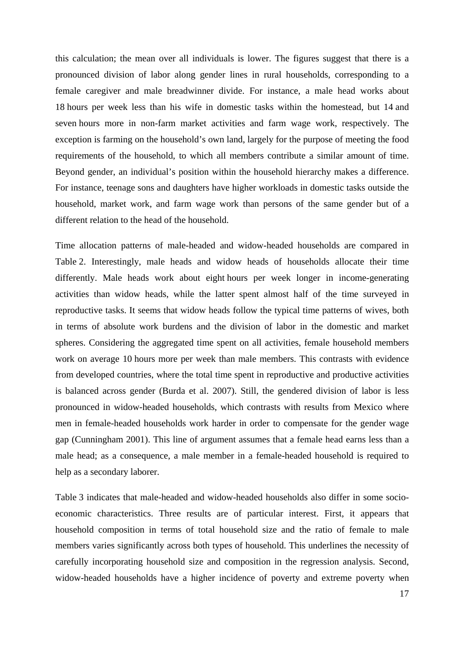this calculation; the mean over all individuals is lower. The figures suggest that there is a pronounced division of labor along gender lines in rural households, corresponding to a female caregiver and male breadwinner divide. For instance, a male head works about 18 hours per week less than his wife in domestic tasks within the homestead, but 14 and seven hours more in non-farm market activities and farm wage work, respectively. The exception is farming on the household's own land, largely for the purpose of meeting the food requirements of the household, to which all members contribute a similar amount of time. Beyond gender, an individual's position within the household hierarchy makes a difference. For instance, teenage sons and daughters have higher workloads in domestic tasks outside the household, market work, and farm wage work than persons of the same gender but of a different relation to the head of the household.

Time allocation patterns of male-headed and widow-headed households are compared in Table 2. Interestingly, male heads and widow heads of households allocate their time differently. Male heads work about eight hours per week longer in income-generating activities than widow heads, while the latter spent almost half of the time surveyed in reproductive tasks. It seems that widow heads follow the typical time patterns of wives, both in terms of absolute work burdens and the division of labor in the domestic and market spheres. Considering the aggregated time spent on all activities, female household members work on average 10 hours more per week than male members. This contrasts with evidence from developed countries, where the total time spent in reproductive and productive activities is balanced across gender (Burda et al. 2007). Still, the gendered division of labor is less pronounced in widow-headed households, which contrasts with results from Mexico where men in female-headed households work harder in order to compensate for the gender wage gap (Cunningham 2001). This line of argument assumes that a female head earns less than a male head; as a consequence, a male member in a female-headed household is required to help as a secondary laborer.

Table 3 indicates that male-headed and widow-headed households also differ in some socioeconomic characteristics. Three results are of particular interest. First, it appears that household composition in terms of total household size and the ratio of female to male members varies significantly across both types of household. This underlines the necessity of carefully incorporating household size and composition in the regression analysis. Second, widow-headed households have a higher incidence of poverty and extreme poverty when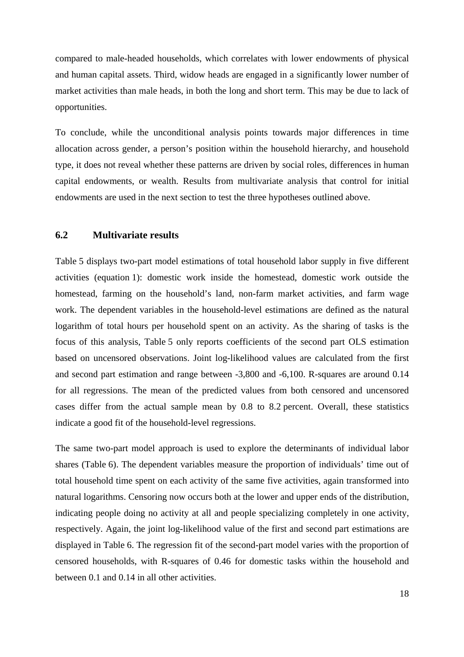compared to male-headed households, which correlates with lower endowments of physical and human capital assets. Third, widow heads are engaged in a significantly lower number of market activities than male heads, in both the long and short term. This may be due to lack of opportunities.

To conclude, while the unconditional analysis points towards major differences in time allocation across gender, a person's position within the household hierarchy, and household type, it does not reveal whether these patterns are driven by social roles, differences in human capital endowments, or wealth. Results from multivariate analysis that control for initial endowments are used in the next section to test the three hypotheses outlined above.

#### **6.2 Multivariate results**

Table 5 displays two-part model estimations of total household labor supply in five different activities (equation 1): domestic work inside the homestead, domestic work outside the homestead, farming on the household's land, non-farm market activities, and farm wage work. The dependent variables in the household-level estimations are defined as the natural logarithm of total hours per household spent on an activity. As the sharing of tasks is the focus of this analysis, Table 5 only reports coefficients of the second part OLS estimation based on uncensored observations. Joint log-likelihood values are calculated from the first and second part estimation and range between -3,800 and -6,100. R-squares are around 0.14 for all regressions. The mean of the predicted values from both censored and uncensored cases differ from the actual sample mean by 0.8 to 8.2 percent. Overall, these statistics indicate a good fit of the household-level regressions.

The same two-part model approach is used to explore the determinants of individual labor shares (Table 6). The dependent variables measure the proportion of individuals' time out of total household time spent on each activity of the same five activities, again transformed into natural logarithms. Censoring now occurs both at the lower and upper ends of the distribution, indicating people doing no activity at all and people specializing completely in one activity, respectively. Again, the joint log-likelihood value of the first and second part estimations are displayed in Table 6. The regression fit of the second-part model varies with the proportion of censored households, with R-squares of 0.46 for domestic tasks within the household and between 0.1 and 0.14 in all other activities.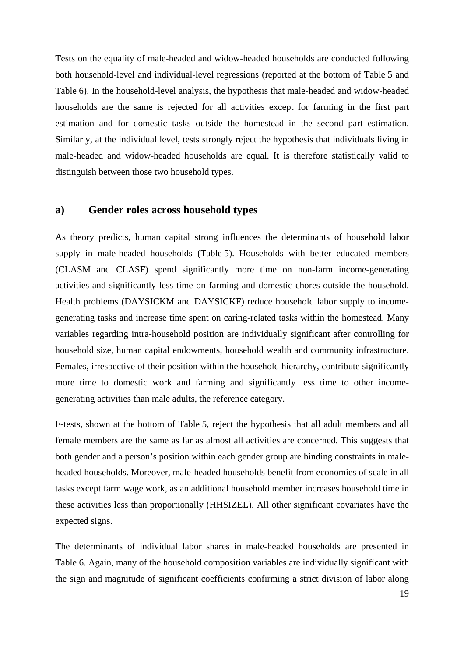Tests on the equality of male-headed and widow-headed households are conducted following both household-level and individual-level regressions (reported at the bottom of Table 5 and Table 6). In the household-level analysis, the hypothesis that male-headed and widow-headed households are the same is rejected for all activities except for farming in the first part estimation and for domestic tasks outside the homestead in the second part estimation. Similarly, at the individual level, tests strongly reject the hypothesis that individuals living in male-headed and widow-headed households are equal. It is therefore statistically valid to distinguish between those two household types.

#### **a) Gender roles across household types**

As theory predicts, human capital strong influences the determinants of household labor supply in male-headed households (Table 5). Households with better educated members (CLASM and CLASF) spend significantly more time on non-farm income-generating activities and significantly less time on farming and domestic chores outside the household. Health problems (DAYSICKM and DAYSICKF) reduce household labor supply to incomegenerating tasks and increase time spent on caring-related tasks within the homestead. Many variables regarding intra-household position are individually significant after controlling for household size, human capital endowments, household wealth and community infrastructure. Females, irrespective of their position within the household hierarchy, contribute significantly more time to domestic work and farming and significantly less time to other incomegenerating activities than male adults, the reference category.

F-tests, shown at the bottom of Table 5, reject the hypothesis that all adult members and all female members are the same as far as almost all activities are concerned. This suggests that both gender and a person's position within each gender group are binding constraints in maleheaded households. Moreover, male-headed households benefit from economies of scale in all tasks except farm wage work, as an additional household member increases household time in these activities less than proportionally (HHSIZEL). All other significant covariates have the expected signs.

The determinants of individual labor shares in male-headed households are presented in Table 6. Again, many of the household composition variables are individually significant with the sign and magnitude of significant coefficients confirming a strict division of labor along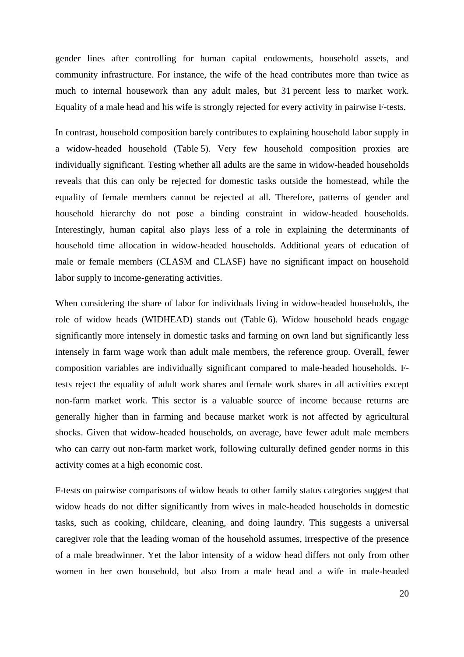gender lines after controlling for human capital endowments, household assets, and community infrastructure. For instance, the wife of the head contributes more than twice as much to internal housework than any adult males, but 31 percent less to market work. Equality of a male head and his wife is strongly rejected for every activity in pairwise F-tests.

In contrast, household composition barely contributes to explaining household labor supply in a widow-headed household (Table 5). Very few household composition proxies are individually significant. Testing whether all adults are the same in widow-headed households reveals that this can only be rejected for domestic tasks outside the homestead, while the equality of female members cannot be rejected at all. Therefore, patterns of gender and household hierarchy do not pose a binding constraint in widow-headed households. Interestingly, human capital also plays less of a role in explaining the determinants of household time allocation in widow-headed households. Additional years of education of male or female members (CLASM and CLASF) have no significant impact on household labor supply to income-generating activities.

When considering the share of labor for individuals living in widow-headed households, the role of widow heads (WIDHEAD) stands out (Table 6). Widow household heads engage significantly more intensely in domestic tasks and farming on own land but significantly less intensely in farm wage work than adult male members, the reference group. Overall, fewer composition variables are individually significant compared to male-headed households. Ftests reject the equality of adult work shares and female work shares in all activities except non-farm market work. This sector is a valuable source of income because returns are generally higher than in farming and because market work is not affected by agricultural shocks. Given that widow-headed households, on average, have fewer adult male members who can carry out non-farm market work, following culturally defined gender norms in this activity comes at a high economic cost.

F-tests on pairwise comparisons of widow heads to other family status categories suggest that widow heads do not differ significantly from wives in male-headed households in domestic tasks, such as cooking, childcare, cleaning, and doing laundry. This suggests a universal caregiver role that the leading woman of the household assumes, irrespective of the presence of a male breadwinner. Yet the labor intensity of a widow head differs not only from other women in her own household, but also from a male head and a wife in male-headed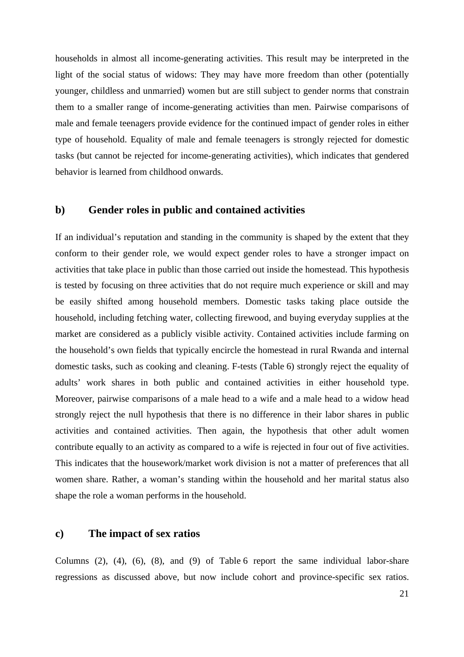households in almost all income-generating activities. This result may be interpreted in the light of the social status of widows: They may have more freedom than other (potentially younger, childless and unmarried) women but are still subject to gender norms that constrain them to a smaller range of income-generating activities than men. Pairwise comparisons of male and female teenagers provide evidence for the continued impact of gender roles in either type of household. Equality of male and female teenagers is strongly rejected for domestic tasks (but cannot be rejected for income-generating activities), which indicates that gendered behavior is learned from childhood onwards.

#### **b) Gender roles in public and contained activities**

If an individual's reputation and standing in the community is shaped by the extent that they conform to their gender role, we would expect gender roles to have a stronger impact on activities that take place in public than those carried out inside the homestead. This hypothesis is tested by focusing on three activities that do not require much experience or skill and may be easily shifted among household members. Domestic tasks taking place outside the household, including fetching water, collecting firewood, and buying everyday supplies at the market are considered as a publicly visible activity. Contained activities include farming on the household's own fields that typically encircle the homestead in rural Rwanda and internal domestic tasks, such as cooking and cleaning. F-tests (Table 6) strongly reject the equality of adults' work shares in both public and contained activities in either household type. Moreover, pairwise comparisons of a male head to a wife and a male head to a widow head strongly reject the null hypothesis that there is no difference in their labor shares in public activities and contained activities. Then again, the hypothesis that other adult women contribute equally to an activity as compared to a wife is rejected in four out of five activities. This indicates that the housework/market work division is not a matter of preferences that all women share. Rather, a woman's standing within the household and her marital status also shape the role a woman performs in the household.

#### **c) The impact of sex ratios**

Columns (2), (4), (6), (8), and (9) of Table 6 report the same individual labor-share regressions as discussed above, but now include cohort and province-specific sex ratios.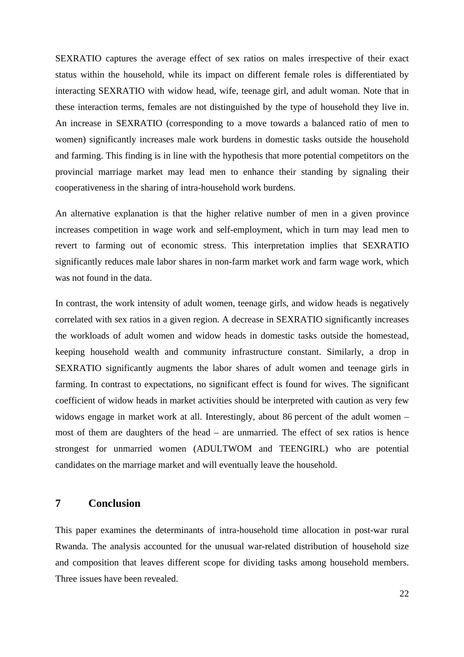SEXRATIO captures the average effect of sex ratios on males irrespective of their exact status within the household, while its impact on different female roles is differentiated by interacting SEXRATIO with widow head, wife, teenage girl, and adult woman. Note that in these interaction terms, females are not distinguished by the type of household they live in. An increase in SEXRATIO (corresponding to a move towards a balanced ratio of men to women) significantly increases male work burdens in domestic tasks outside the household and farming. This finding is in line with the hypothesis that more potential competitors on the provincial marriage market may lead men to enhance their standing by signaling their cooperativeness in the sharing of intra-household work burdens.

An alternative explanation is that the higher relative number of men in a given province increases competition in wage work and self-employment, which in turn may lead men to revert to farming out of economic stress. This interpretation implies that SEXRATIO significantly reduces male labor shares in non-farm market work and farm wage work, which was not found in the data.

In contrast, the work intensity of adult women, teenage girls, and widow heads is negatively correlated with sex ratios in a given region. A decrease in SEXRATIO significantly increases the workloads of adult women and widow heads in domestic tasks outside the homestead, keeping household wealth and community infrastructure constant. Similarly, a drop in SEXRATIO significantly augments the labor shares of adult women and teenage girls in farming. In contrast to expectations, no significant effect is found for wives. The significant coefficient of widow heads in market activities should be interpreted with caution as very few widows engage in market work at all. Interestingly, about 86 percent of the adult women – most of them are daughters of the head – are unmarried. The effect of sex ratios is hence strongest for unmarried women (ADULTWOM and TEENGIRL) who are potential candidates on the marriage market and will eventually leave the household.

#### **7 Conclusion**

This paper examines the determinants of intra-household time allocation in post-war rural Rwanda. The analysis accounted for the unusual war-related distribution of household size and composition that leaves different scope for dividing tasks among household members. Three issues have been revealed.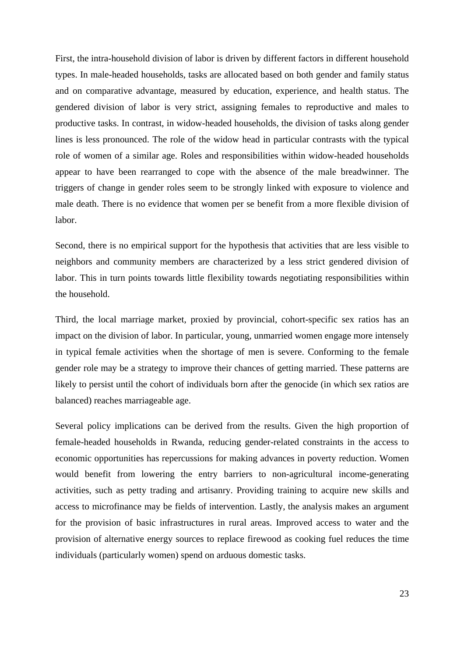First, the intra-household division of labor is driven by different factors in different household types. In male-headed households, tasks are allocated based on both gender and family status and on comparative advantage, measured by education, experience, and health status. The gendered division of labor is very strict, assigning females to reproductive and males to productive tasks. In contrast, in widow-headed households, the division of tasks along gender lines is less pronounced. The role of the widow head in particular contrasts with the typical role of women of a similar age. Roles and responsibilities within widow-headed households appear to have been rearranged to cope with the absence of the male breadwinner. The triggers of change in gender roles seem to be strongly linked with exposure to violence and male death. There is no evidence that women per se benefit from a more flexible division of labor.

Second, there is no empirical support for the hypothesis that activities that are less visible to neighbors and community members are characterized by a less strict gendered division of labor. This in turn points towards little flexibility towards negotiating responsibilities within the household.

Third, the local marriage market, proxied by provincial, cohort-specific sex ratios has an impact on the division of labor. In particular, young, unmarried women engage more intensely in typical female activities when the shortage of men is severe. Conforming to the female gender role may be a strategy to improve their chances of getting married. These patterns are likely to persist until the cohort of individuals born after the genocide (in which sex ratios are balanced) reaches marriageable age.

Several policy implications can be derived from the results. Given the high proportion of female-headed households in Rwanda, reducing gender-related constraints in the access to economic opportunities has repercussions for making advances in poverty reduction. Women would benefit from lowering the entry barriers to non-agricultural income-generating activities, such as petty trading and artisanry. Providing training to acquire new skills and access to microfinance may be fields of intervention. Lastly, the analysis makes an argument for the provision of basic infrastructures in rural areas. Improved access to water and the provision of alternative energy sources to replace firewood as cooking fuel reduces the time individuals (particularly women) spend on arduous domestic tasks.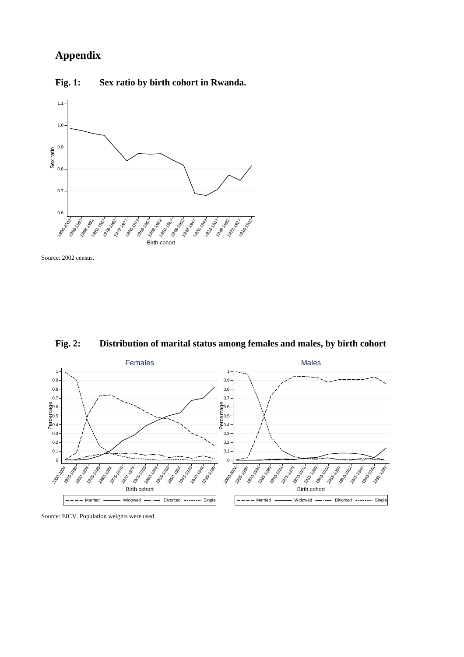### **Appendix**

**Fig. 1: Sex ratio by birth cohort in Rwanda.** 



Source: 2002 census.



**Fig. 2: Distribution of marital status among females and males, by birth cohort** 

Source: EICV. Population weights were used.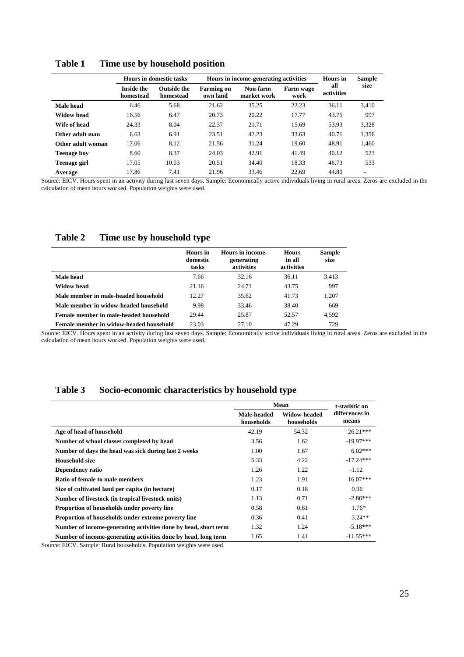|                     |                                | <b>Hours in domestic tasks</b>  |                               | Hours in income-generating activities | <b>Hours</b> in   | <b>Sample</b>     |       |
|---------------------|--------------------------------|---------------------------------|-------------------------------|---------------------------------------|-------------------|-------------------|-------|
|                     | <b>Inside the</b><br>homestead | <b>Outside the</b><br>homestead | <b>Farming on</b><br>own land | Non-farm<br>market work               | Farm wage<br>work | all<br>activities | size  |
| Male head           | 5.68<br>6.46                   |                                 | 21.62                         | 35.25                                 | 22.23             | 36.11             | 3,410 |
| Widow head          | 16.56                          | 6.47                            | 20.73                         | 20.22                                 | 17.77             | 43.75             | 997   |
| Wife of head        | 24.33                          | 8.04                            | 22.37                         | 21.71                                 | 15.69             | 53.93             | 3,328 |
| Other adult man     | 6.63                           | 6.91                            | 23.51                         | 42.23                                 | 33.63             | 40.71             | 1,356 |
| Other adult woman   | 17.06                          | 8.12                            | 21.56                         | 31.24                                 | 19.60             | 48.91             | 1,460 |
| <b>Teenage boy</b>  | 8.60                           | 8.37                            | 24.03                         | 42.91                                 | 41.49             | 40.12             | 523   |
| <b>Teenage girl</b> | 17.05                          | 10.03                           | 20.51                         | 34.40                                 | 18.33             | 46.73             | 533   |
| Average             | 17.86                          | 7.41                            | 21.96                         | 33.46                                 | 22.69             | 44.80             |       |

**Table 1 Time use by household position** 

Source: EICV. Hours spent in an activity during last seven days. Sample: Economically active individuals living in rural areas. Zeros are excluded in the calculation of mean hours worked. Population weights were used.

#### **Table 2 Time use by household type**

|                                         | Hours in<br>domestic<br>tasks | Hours in income-<br>generating<br>activities | <b>Hours</b><br>in all<br>activities | <b>Sample</b><br>size |
|-----------------------------------------|-------------------------------|----------------------------------------------|--------------------------------------|-----------------------|
| Male head                               | 7.66                          | 32.16                                        | 36.11                                | 3.413                 |
| Widow head                              | 21.16                         | 24.71                                        | 43.75                                | 997                   |
| Male member in male-headed household    | 12.27                         | 35.62                                        | 41.73                                | 1.207                 |
| Male member in widow-headed household   | 9.98                          | 33.46                                        | 38.40                                | 669                   |
| Female member in male-headed household  | 29.44                         | 25.87                                        | 52.57                                | 4.592                 |
| Female member in widow-headed household | 23.03                         | 27.10                                        | 47.29                                | 729                   |

Source: EICV. Hours spent in an activity during last seven days. Sample: Economically active individuals living in rural areas. Zeros are excluded in the calculation of mean hours worked. Population weights were used.

#### **Table 3 Socio-economic characteristics by household type**

|                                                                 | Mean                      | t-statistic on             |                         |  |
|-----------------------------------------------------------------|---------------------------|----------------------------|-------------------------|--|
|                                                                 | Male-headed<br>households | Widow-headed<br>households | differences in<br>means |  |
| Age of head of household                                        | 42.19                     | 54.32                      | $26.21***$              |  |
| Number of school classes completed by head                      | 3.56                      | 1.62                       | $-19.97***$             |  |
| Number of days the head was sick during last 2 weeks            | 1.00                      | 1.67                       | $6.02***$               |  |
| Household size                                                  | 5.33                      | 4.22                       | $-17.24***$             |  |
| Dependency ratio                                                | 1.26                      | 1.22                       | $-1.12$                 |  |
| Ratio of female to male members                                 | 1.23                      | 1.91                       | $16.07***$              |  |
| Size of cultivated land per capita (in hectare)                 | 0.17                      | 0.18                       | 0.96                    |  |
| Number of livestock (in tropical livestock units)               | 1.13                      | 0.71                       | $-2.86***$              |  |
| Proportion of households under poverty line                     | 0.58                      | 0.61                       | $1.76*$                 |  |
| Proportion of households under extreme poverty line             | 0.36                      | 0.41                       | $3.24**$                |  |
| Number of income-generating activities done by head, short term | 1.32                      | 1.24                       | $-5.18***$              |  |
| Number of income-generating activities done by head, long term  | 1.65                      | 1.41                       | $-11.55***$             |  |

Source: EICV. Sample: Rural households. Population weights were used.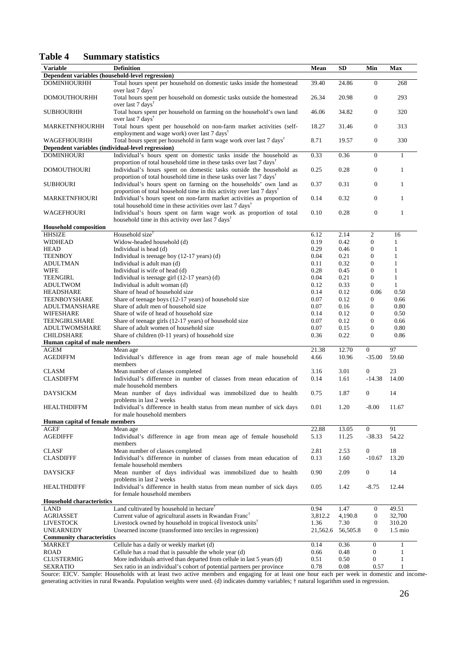#### **Table 4 Summary statistics**

| <b>Variable</b>                                   | <b>Definition</b>                                                                                                                                            | Mean     | <b>SD</b> | Min              | Max               |  |  |  |
|---------------------------------------------------|--------------------------------------------------------------------------------------------------------------------------------------------------------------|----------|-----------|------------------|-------------------|--|--|--|
| Dependent variables (household-level regression)  |                                                                                                                                                              |          |           |                  |                   |  |  |  |
| <b>DOMINHOURHH</b>                                | Total hours spent per household on domestic tasks inside the homestead                                                                                       | 39.40    | 24.86     | $\mathbf{0}$     | 268               |  |  |  |
|                                                   | over last 7 days <sup>†</sup>                                                                                                                                |          |           |                  |                   |  |  |  |
| <b>DOMOUTHOURHH</b>                               | Total hours spent per household on domestic tasks outside the homestead                                                                                      | 26.34    | 20.98     | $\boldsymbol{0}$ | 293               |  |  |  |
|                                                   | over last 7 days <sup>†</sup>                                                                                                                                |          |           |                  |                   |  |  |  |
| <b>SUBHOURHH</b>                                  | Total hours spent per household on farming on the household's own land                                                                                       | 46.06    | 34.82     | $\boldsymbol{0}$ | 320               |  |  |  |
|                                                   | over last 7 days <sup>†</sup>                                                                                                                                |          |           |                  |                   |  |  |  |
| <b>MARKETNFHOURHH</b>                             | Total hours spent per household on non-farm market activities (self-                                                                                         | 18.27    | 31.46     | $\boldsymbol{0}$ | 313               |  |  |  |
|                                                   | employment and wage work) over last 7 days <sup>†</sup>                                                                                                      |          |           |                  |                   |  |  |  |
| <b>WAGEFHOURHH</b>                                | Total hours spent per household in farm wage work over last 7 days <sup>†</sup>                                                                              | 8.71     | 19.57     | $\boldsymbol{0}$ | 330               |  |  |  |
| Dependent variables (individual-level regression) |                                                                                                                                                              |          |           |                  |                   |  |  |  |
| <b>DOMINHOURI</b>                                 | Individual's hours spent on domestic tasks inside the household as<br>proportion of total household time in these tasks over last $7 \text{ days}^{\dagger}$ | 0.33     | 0.36      | $\boldsymbol{0}$ | $\mathbf{1}$      |  |  |  |
| <b>DOMOUTHOURI</b>                                | Individual's hours spent on domestic tasks outside the household as                                                                                          | 0.25     | 0.28      | $\boldsymbol{0}$ | $\mathbf{1}$      |  |  |  |
|                                                   | proportion of total household time in these tasks over last 7 days <sup>†</sup>                                                                              |          |           |                  |                   |  |  |  |
| <b>SUBHOURI</b>                                   | Individual's hours spent on farming on the households' own land as                                                                                           | 0.37     | 0.31      | $\boldsymbol{0}$ | $\mathbf{1}$      |  |  |  |
|                                                   | proportion of total household time in this activity over last 7 days <sup>†</sup>                                                                            |          |           |                  |                   |  |  |  |
| <b>MARKETNFHOURI</b>                              | Individual's hours spent on non-farm market activities as proportion of                                                                                      | 0.14     | 0.32      | $\boldsymbol{0}$ | $\mathbf{1}$      |  |  |  |
|                                                   | total household time in these activities over last 7 days <sup>†</sup>                                                                                       |          |           |                  |                   |  |  |  |
| WAGEFHOURI                                        | Individual's hours spent on farm wage work as proportion of total                                                                                            | 0.10     | 0.28      | $\boldsymbol{0}$ | $\mathbf{1}$      |  |  |  |
|                                                   | household time in this activity over last 7 days <sup>†</sup>                                                                                                |          |           |                  |                   |  |  |  |
| <b>Household composition</b>                      |                                                                                                                                                              |          |           |                  |                   |  |  |  |
| <b>HHSIZE</b>                                     | Household size <sup>†</sup>                                                                                                                                  | 6.12     | 2.14      | $\overline{c}$   | 16                |  |  |  |
| <b>WIDHEAD</b>                                    | Widow-headed household (d)                                                                                                                                   | 0.19     | 0.42      | $\mathbf{0}$     | 1                 |  |  |  |
| <b>HEAD</b>                                       | Individual is head (d)                                                                                                                                       | 0.29     | 0.46      | $\boldsymbol{0}$ | $\mathbf{1}$      |  |  |  |
| <b>TEENBOY</b>                                    | Individual is teenage boy (12-17 years) (d)                                                                                                                  | 0.04     | 0.21      | $\boldsymbol{0}$ | 1                 |  |  |  |
| <b>ADULTMAN</b>                                   | Individual is adult man (d)                                                                                                                                  | 0.11     | 0.32      | $\mathbf{0}$     | $\mathbf{1}$      |  |  |  |
| <b>WIFE</b>                                       | Individual is wife of head (d)                                                                                                                               | 0.28     | 0.45      | $\mathbf{0}$     | $\mathbf{1}$      |  |  |  |
| <b>TEENGIRL</b>                                   | Individual is teenage girl (12-17 years) (d)                                                                                                                 | 0.04     | 0.21      | $\mathbf{0}$     | $\mathbf{1}$      |  |  |  |
| <b>ADULTWOM</b>                                   | Individual is adult woman (d)                                                                                                                                | 0.12     | 0.33      | $\mathbf{0}$     | $\mathbf{1}$      |  |  |  |
| HEADSHARE                                         | Share of head of household size                                                                                                                              | 0.14     | 0.12      | 0.06             | 0.50              |  |  |  |
| TEENBOYSHARE                                      | Share of teenage boys (12-17 years) of household size                                                                                                        | 0.07     | 0.12      | $\boldsymbol{0}$ | 0.66              |  |  |  |
| ADULTMANSHARE                                     | Share of adult men of household size                                                                                                                         | 0.07     | 0.16      | $\boldsymbol{0}$ | 0.80              |  |  |  |
| WIFESHARE                                         | Share of wife of head of household size                                                                                                                      | 0.14     | 0.12      | $\mathbf{0}$     | 0.50              |  |  |  |
| TEENGIRLSHARE                                     | Share of teenage girls (12-17 years) of household size                                                                                                       | 0.07     | 0.12      | $\overline{0}$   | 0.66              |  |  |  |
| ADULTWOMSHARE                                     | Share of adult women of household size                                                                                                                       | 0.07     | 0.15      | $\boldsymbol{0}$ | 0.80              |  |  |  |
| <b>CHILDSHARE</b>                                 | Share of children (0-11 years) of household size                                                                                                             | 0.36     | 0.22      | $\mathbf{0}$     | 0.86              |  |  |  |
| Human capital of male members                     |                                                                                                                                                              |          |           |                  |                   |  |  |  |
| <b>AGEM</b>                                       | Mean age                                                                                                                                                     | 21.38    | 12.70     | $\overline{0}$   | 97                |  |  |  |
| <b>AGEDIFFM</b>                                   | Individual's difference in age from mean age of male household                                                                                               | 4.66     | 10.96     | $-35.00$         | 59.60             |  |  |  |
|                                                   | members                                                                                                                                                      |          |           |                  |                   |  |  |  |
| <b>CLASM</b>                                      | Mean number of classes completed                                                                                                                             | 3.16     | 3.01      | $\boldsymbol{0}$ | 23                |  |  |  |
| <b>CLASDIFFM</b>                                  | Individual's difference in number of classes from mean education of                                                                                          | 0.14     | 1.61      | $-14.38$         | 14.00             |  |  |  |
|                                                   | male household members                                                                                                                                       |          |           |                  |                   |  |  |  |
| DAYSICKM                                          | Mean number of days individual was immobilized due to health                                                                                                 | 0.75     | 1.87      | $\boldsymbol{0}$ | 14                |  |  |  |
|                                                   | problems in last 2 weeks                                                                                                                                     |          |           |                  |                   |  |  |  |
| <b>HEALTHDIFFM</b>                                | Individual's difference in health status from mean number of sick days<br>for male household members                                                         | 0.01     | 1.20      | $-8.00$          | 11.67             |  |  |  |
| Human capital of female members                   |                                                                                                                                                              |          |           |                  |                   |  |  |  |
| AGEF                                              | Mean age                                                                                                                                                     | 22.88    | 13.05     | $\overline{0}$   | 91                |  |  |  |
| <b>AGEDIFFF</b>                                   | Individual's difference in age from mean age of female household                                                                                             | 5.13     | 11.25     | $-38.33$         | 54.22             |  |  |  |
|                                                   | members                                                                                                                                                      |          |           |                  |                   |  |  |  |
| <b>CLASF</b>                                      | Mean number of classes completed                                                                                                                             | 2.81     | 2.53      | $\boldsymbol{0}$ | 18                |  |  |  |
| <b>CLASDIFFF</b>                                  | Individual's difference in number of classes from mean education of                                                                                          | 0.13     | 1.60      | $-10.67$         | 13.20             |  |  |  |
|                                                   | female household members                                                                                                                                     |          |           |                  |                   |  |  |  |
| <b>DAYSICKF</b>                                   | Mean number of days individual was immobilized due to health                                                                                                 | 0.90     | 2.09      | $\boldsymbol{0}$ | 14                |  |  |  |
|                                                   | problems in last 2 weeks                                                                                                                                     |          |           |                  |                   |  |  |  |
| <b>HEALTHDIFFF</b>                                | Individual's difference in health status from mean number of sick days                                                                                       | 0.05     | 1.42      | $-8.75$          | 12.44             |  |  |  |
|                                                   | for female household members                                                                                                                                 |          |           |                  |                   |  |  |  |
| <b>Household characteristics</b>                  |                                                                                                                                                              |          |           |                  |                   |  |  |  |
| <b>LAND</b>                                       | Land cultivated by household in hectare <sup>†</sup>                                                                                                         | 0.94     | 1.47      | $\mathbf{0}$     | 49.51             |  |  |  |
| <b>AGRIASSET</b>                                  | Current value of agricultural assets in Rwandan Franc <sup>†</sup>                                                                                           | 3,812.2  | 4,190.8   | $\boldsymbol{0}$ | 32,700            |  |  |  |
| <b>LIVESTOCK</b>                                  | Livestock owned by household in tropical livestock units <sup>†</sup>                                                                                        | 1.36     | 7.30      | $\boldsymbol{0}$ | 310.20            |  |  |  |
| <b>UNEARNEDY</b>                                  | Unearned income (transformed into terciles in regression)                                                                                                    | 21,562.6 | 56,505.8  | $\boldsymbol{0}$ | $1.5 \text{ mio}$ |  |  |  |
| <b>Community characteristics</b>                  |                                                                                                                                                              |          |           |                  |                   |  |  |  |
| <b>MARKET</b>                                     | Cellule has a daily or weekly market (d)                                                                                                                     | 0.14     | 0.36      | $\boldsymbol{0}$ | $\mathbf{1}$      |  |  |  |
| <b>ROAD</b>                                       | Cellule has a road that is passable the whole year (d)                                                                                                       | 0.66     | 0.48      | 0                | 1                 |  |  |  |
| <b>CLUSTERMIG</b>                                 | More individuals arrived than departed from cellule in last 5 years (d)                                                                                      | 0.51     | 0.50      | 0                | $\mathbf{1}$      |  |  |  |
| <b>SEXRATIO</b>                                   | Sex ratio in an individual's cohort of potential partners per province                                                                                       | 0.78     | 0.08      | 0.57             | 1                 |  |  |  |
|                                                   |                                                                                                                                                              |          |           |                  |                   |  |  |  |

Source: EICV. Sample: Households with at least two active members and engaging for at least one hour each per week in domestic and incomegenerating activities in rural Rwanda. Population weights were used. (d) indicates dummy variables; † natural logarithm used in regression.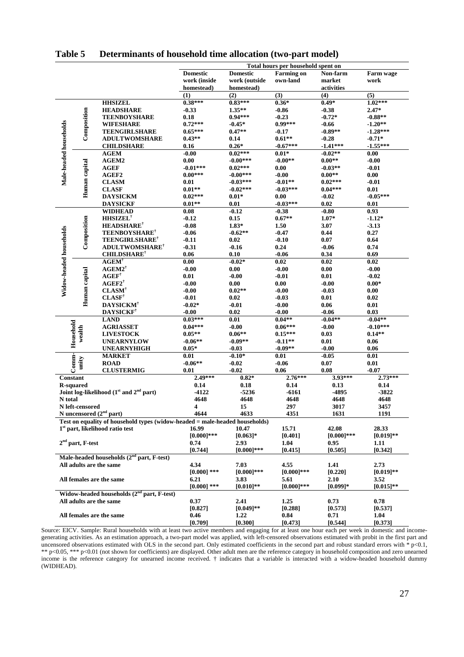|                          | Total hours per household spent on |                                                                             |                 |                 |                   |               |              |  |
|--------------------------|------------------------------------|-----------------------------------------------------------------------------|-----------------|-----------------|-------------------|---------------|--------------|--|
|                          |                                    |                                                                             | <b>Domestic</b> | <b>Domestic</b> | <b>Farming on</b> | Non-farm      | Farm wage    |  |
|                          |                                    |                                                                             | work (inside    | work (outside   | own-land          | market        | work         |  |
|                          |                                    |                                                                             | homestead)      | homestead)      |                   | activities    |              |  |
|                          |                                    |                                                                             | (1)             | (2)             | (3)               | (4)           | (5)          |  |
|                          |                                    | <b>HHSIZEL</b>                                                              | $0.38***$       | $0.83***$       | $0.36*$           | $0.49*$       | $1.02***$    |  |
|                          |                                    | <b>HEADSHARE</b>                                                            | $-0.33$         | $1.35***$       | $-0.86$           | $-0.38$       | $2.47*$      |  |
|                          |                                    | <b>TEENBOYSHARE</b>                                                         | 0.18            | $0.94***$       | $-0.23$           | $-0.72*$      | $-0.88**$    |  |
|                          |                                    | <b>WIFESHARE</b>                                                            | $0.72***$       | $-0.45*$        | $0.99***$         | $-0.66$       | $-1.20**$    |  |
|                          | Composition                        | <b>TEENGIRLSHARE</b>                                                        | $0.65***$       | $0.47**$        | $-0.17$           | $-0.89**$     | $-1.28***$   |  |
|                          |                                    | <b>ADULTWOMSHARE</b>                                                        | $0.43**$        | 0.14            | $0.61**$          | $-0.28$       | $-0.71*$     |  |
|                          |                                    | <b>CHILDSHARE</b>                                                           | 0.16            | $0.26*$         | $-0.67***$        | $-1.41***$    | $-1.55***$   |  |
| Male-headed households   |                                    | <b>AGEM</b>                                                                 | $-0.00$         | $0.02***$       | $0.01*$           | $-0.02**$     | 0.00         |  |
|                          |                                    | <b>AGEM2</b>                                                                | 0.00            | $-0.00***$      | $-0.00**$         | $0.00**$      | $-0.00$      |  |
|                          | Human capital                      | AGEF                                                                        | $-0.01***$      | $0.02***$       | 0.00              | $-0.03**$     | $-0.01$      |  |
|                          |                                    | AGEF2                                                                       | $0.00***$       | $-0.00***$      | $-0.00$           | $0.00**$      | 0.00         |  |
|                          |                                    | <b>CLASM</b>                                                                | 0.01            | $-0.03***$      | $-0.01**$         | $0.02***$     | $-0.01$      |  |
|                          |                                    | <b>CLASF</b>                                                                | $0.01**$        | $-0.02***$      | $-0.03***$        | $0.04***$     | 0.01         |  |
|                          |                                    | <b>DAYSICKM</b>                                                             | $0.02***$       | $0.01*$         | 0.00              | $-0.02$       | $-0.05***$   |  |
|                          |                                    | <b>DAYSICKF</b>                                                             | $0.01**$        | 0.01            | $-0.03***$        | 0.02          | 0.01         |  |
|                          |                                    | <b>WIDHEAD</b>                                                              | 0.08            | $-0.12$         | $-0.38$           | $-0.80$       | 0.93         |  |
|                          |                                    | <b>HHSIZEL</b> <sup>†</sup>                                                 | $-0.12$         | 0.15            | $0.67**$          | $1.07*$       | $-1.12*$     |  |
|                          |                                    | <b>HEADSHARE</b> <sup>†</sup>                                               | -0.08           | $1.83*$         | 1.50              | 3.07          | $-3.13$      |  |
|                          | Composition                        | <b>TEENBOYSHARE<sup>†</sup></b>                                             | -0.06           | $-0.62**$       | $-0.47$           | 0.44          | 0.27         |  |
|                          |                                    | <b>TEENGIRLSHARE<sup>†</sup></b>                                            | -0.11           | 0.02            | $-0.10$           | 0.07          | 0.64         |  |
|                          |                                    | <b>ADULTWOMSHARE<sup>†</sup></b>                                            | -0.31           | $-0.16$         | 0.24              | $-0.06$       | 0.74         |  |
| Widow-headed households  |                                    | <b>CHILDSHARE</b>                                                           | 0.06            | 0.10            | $-0.06$           | 0.34          | 0.69         |  |
|                          |                                    | $\mathbf{AGEM}^{\dagger}$                                                   | 0.00            | $-0.02*$        | 0.02              | $0.02\,$      | 0.02         |  |
|                          |                                    | $AGEM2^{\dagger}$                                                           | $-0.00$         | 0.00            | $-0.00$           | 0.00          | $-0.00$      |  |
|                          |                                    | $\mathbf{AGEF}^\dagger$                                                     | 0.01            | $-0.00$         | -0.01             | 0.01          | $-0.02$      |  |
|                          |                                    | $\mathbf{AGEF2}^{\dagger}$                                                  | $-0.00$         | 0.00            | 0.00              | $-0.00$       | $0.00*$      |  |
|                          |                                    | $CLASM^{\dagger}$                                                           | $-0.00$         | $0.02**$        | $-0.00$           | $-0.03$       | 0.00         |  |
|                          | Human capital                      | $CLASF^{\dagger}$                                                           | $-0.01$         | 0.02            | $-0.03$           | 0.01          | 0.02         |  |
|                          |                                    | <b>DAYSICKM</b>                                                             | $-0.02*$        | $-0.01$         | $-0.00$           | 0.06          | 0.01         |  |
|                          |                                    | <b>DAYSICKF</b>                                                             | $-0.00$         | 0.02            | $-0.00$           | $-0.06$       | 0.03         |  |
|                          |                                    | <b>LAND</b>                                                                 | $0.03***$       | 0.01            | $0.04**$          | $-0.04**$     | $-0.04**$    |  |
|                          |                                    | <b>AGRIASSET</b>                                                            | $0.04***$       | $-0.00$         | $0.06***$         | $-0.00$       | $-0.10***$   |  |
|                          | wealth                             | <b>LIVESTOCK</b>                                                            | $0.05**$        | $0.06**$        | $0.15***$         | 0.03          | $0.14**$     |  |
|                          | Household                          | <b>UNEARNYLOW</b>                                                           | $-0.06**$       | $-0.09**$       | $-0.11**$         | 0.01          | 0.06         |  |
|                          |                                    | <b>UNEARNYHIGH</b>                                                          | $0.05*$         | $-0.03$         | $-0.09**$         | $-0.00$       | 0.06         |  |
|                          |                                    | <b>MARKET</b>                                                               | 0.01            | $-0.10*$        | 0.01              | $-0.05$       | 0.01         |  |
|                          | $Comm-$<br>unity                   | <b>ROAD</b>                                                                 | $-0.06**$       | $-0.02$         | $-0.06$           | 0.07          | 0.01         |  |
|                          |                                    | <b>CLUSTERMIG</b>                                                           | 0.01            | $-0.02$         | 0.06              | 0.08          | $-0.07$      |  |
|                          | Constant                           |                                                                             | 2.49***         | $0.82*$         | $2.76***$         | 3.93***       | $2.73***$    |  |
|                          | <b>R-squared</b>                   |                                                                             | 0.14            | 0.18            | 0.14              | 0.13          | 0.14         |  |
|                          |                                    | Joint log-likelihood (1st and 2 <sup>nd</sup> part)                         | $-4122$         | $-5236$         | $-6161$           | -4895         | $-3822$      |  |
| N total                  |                                    |                                                                             | 4648            | 4648            | 4648              | 4648          | 4648         |  |
|                          | N left-censored                    |                                                                             | 4               | 15              | 297               | 3017          | 3457         |  |
|                          |                                    | N uncensored $(2nd$ part)                                                   | 4644            | 4633            | 4351              | 1631          | 1191         |  |
|                          |                                    | Test on equality of household types (widow-headed = male-headed households) |                 |                 |                   |               |              |  |
|                          |                                    | 1 <sup>st</sup> part, likelihood ratio test                                 | 16.99           | 10.47           | 15.71             | 42.08         | 28.33        |  |
|                          |                                    |                                                                             | $[0.000]^{***}$ | $[0.063]*$      | [0.401]           | $[0.000]$ *** | $[0.019]**$  |  |
| $2nd$ part, F-test       |                                    |                                                                             | 0.74            | 2.93            | 1.04              | 0.95          | 1.11         |  |
|                          |                                    |                                                                             | [0.744]         | $[0.000]$ ***   | [0.415]           | [0.505]       | [0.342]      |  |
|                          |                                    | Male-headed households $(2nd$ part, F-test)                                 |                 |                 |                   |               |              |  |
|                          |                                    | All adults are the same                                                     | 4.34            | 7.03            | 4.55              | 1.41          | 2.73         |  |
|                          |                                    |                                                                             | $[0.000]$ ***   | $[0.000]$ ***   | $[0.000]$ ***     | [0.220]       | $[0.019]**$  |  |
| All females are the same |                                    | 6.21                                                                        | 3.83            | 5.61            | 2.10              | 3.52          |              |  |
|                          |                                    |                                                                             | $[0.000]$ ***   | $[0.010]^{**}$  | $[0.000]$ ***     | $[0.099]$ *   | $[0.015]$ ** |  |
|                          |                                    | Widow-headed households (2 <sup>nd</sup> part, F-test)                      |                 |                 |                   |               |              |  |
|                          |                                    | All adults are the same                                                     | 0.37            | 2.41            | 1.25              | 0.73          | 0.78         |  |
|                          |                                    |                                                                             | [0.827]         | $[0.049]$ **    | [0.288]           | [0.573]       | [0.537]      |  |
|                          |                                    | All females are the same                                                    | 0.46            | 1.22            | 0.84              | 0.71          | 1.04         |  |
|                          |                                    |                                                                             | [0.709]         | [0.300]         | [0.473]           | [0.544]       | [0.373]      |  |

#### **Table 5 Determinants of household time allocation (two-part model)**

Source: EICV. Sample: Rural households with at least two active members and engaging for at least one hour each per week in domestic and incomegenerating activities. As an estimation approach, a two-part model was applied, with left-censored observations estimated with probit in the first part and uncensored observations estimated with OLS in the second part. Only estimated coefficients in the second part and robust standard errors with  $*$  p<0.1, \*\* p<0.05, \*\*\* p<0.01 (not shown for coefficients) are displayed. Other adult men are the reference category in household composition and zero unearned income is the reference category for unearned income received. † indicates that a variable is interacted with a widow-headed household dummy (WIDHEAD).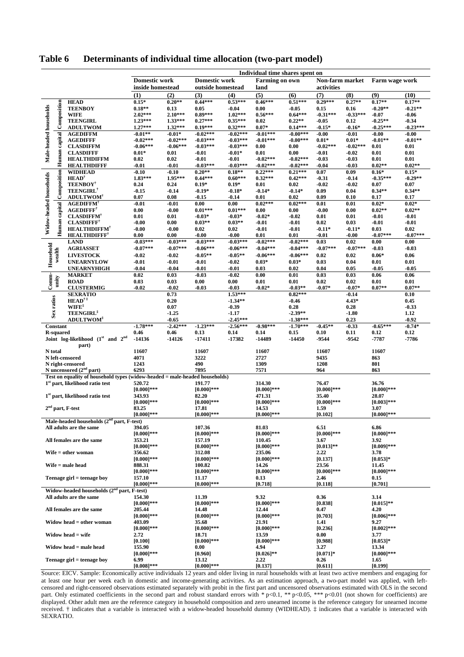|                                                       |                           |                                                                             | Individual time shares spent on |                        |                         |                        |                          |                          |                              |                       |                        |                     |
|-------------------------------------------------------|---------------------------|-----------------------------------------------------------------------------|---------------------------------|------------------------|-------------------------|------------------------|--------------------------|--------------------------|------------------------------|-----------------------|------------------------|---------------------|
|                                                       |                           |                                                                             | <b>Domestic work</b>            | <b>Domestic work</b>   |                         |                        | <b>Farming on own</b>    |                          | Non-farm market              |                       | Farm wage work         |                     |
|                                                       |                           | inside homestead                                                            |                                 | outside homestead      |                         | land                   |                          | activities               |                              |                       |                        |                     |
|                                                       |                           |                                                                             | (1)                             | (2)                    | (3)                     | (4)                    | (5)                      | (6)                      | (7)                          | (8)                   | (9)                    | (10)                |
|                                                       |                           | <b>HEAD</b>                                                                 | $0.15*$                         | $0.20**$               | $0.44***$               | $0.53***$              | $0.46***$                | $0.51***$                | $0.29***$                    | $0.27**$              | $0.17**$               | $0.17**$            |
|                                                       |                           | <b>TEENBOY</b>                                                              | $0.18**$                        | 0.13                   | 0.05                    | $-0.04$                | 0.00                     | $-0.05$                  | 0.15                         | 0.16                  | $-0.20**$              | $-0.21**$           |
|                                                       |                           | <b>WIFE</b><br><b>TEENGIRL</b>                                              | $2.02***$<br>$1.23***$          | $2.10***$<br>$1.33***$ | $0.89***$<br>$0.27***$  | $1.02***$<br>$0.35***$ | $0.56***$<br>0.02        | $0.64***$<br>$0.22**$    | $-0.31***$<br>$-0.05$        | $-0.33***$<br>0.12    | $-0.07$<br>$-0.25**$   | $-0.06$<br>$-0.34$  |
|                                                       |                           | <b>ADULTWOM</b>                                                             | $1.27***$                       | $1.32***$              | $0.19***$               | $0.32***$              | $0.07*$                  | $0.14***$                | $-0.15*$                     | $-0.16*$              | $-0.25***$             | $-0.23***$          |
| Male-headed households                                | Human capital Composition | <b>AGEDIFFM</b>                                                             | $-0.01**$                       | $-0.01*$               | $-0.02***$              | $-0.02***$             | $-0.01***$               | $-0.00***$               | $-0.00$                      | $-0.01$               | $-0.00$                | $-0.00$             |
|                                                       |                           | <b>AGEDIFFF</b>                                                             | $-0.02***$                      | $-0.02***$             | $-0.03***$              | $-0.03***$             | $-0.01***$               | $-0.00***$               | $0.01*$                      | $0.01*$               | $-0.01**$              | $-0.01**$           |
|                                                       |                           | <b>CLASDIFFM</b>                                                            | $-0.06***$                      | $-0.06***$             | $-0.03***$              | $-0.03***$             | 0.00                     | 0.00                     | $-0.02***$                   | $-0.02***$            | 0.01                   | 0.01                |
|                                                       |                           | <b>CLASDIFFF</b>                                                            | $0.01*$                         | 0.01                   | $-0.01$                 | $-0.01*$               | 0.01                     | 0.00                     | $-0.01$                      | $-0.02$               | 0.01                   | 0.01                |
|                                                       |                           | <b>HEALTHDIFFM</b><br><b>HEALTHDIFFF</b>                                    | 0.02<br>$-0.01$                 | 0.02<br>$-0.01$        | $-0.01$<br>$-0.03***$   | $-0.01$<br>$-0.03***$  | $-0.02***$<br>$-0.02***$ | $-0.02***$<br>$-0.02***$ | $-0.03$<br>$-0.04$           | $-0.03$<br>$-0.03$    | 0.01<br>$0.02**$       | 0.01<br>$0.02**$    |
|                                                       |                           | <b>WIDHEAD</b>                                                              | $-0.10$                         | $-0.10$                | $0.20**$                | $0.18**$               | $0.22***$                | $0.21***$                | 0.07                         | 0.09                  | $0.16*$                | $0.15*$             |
| Widow-headed households                               | Human capital Composition | $HEAD^{\dagger}$                                                            | $1.83***$                       | 1.95***                | $0.44***$               | $0.60***$              | $0.32***$                | $0.42***$                | $-0.31$                      | $-0.14$               | $-0.35***$             | $-0.29**$           |
|                                                       |                           | <b>TEENBOY</b> <sup>†</sup>                                                 | 0.24                            | 0.24                   | $0.19*$                 | $0.19*$                | 0.01                     | 0.02                     | $-0.02$                      | $-0.02$               | 0.07                   | 0.07                |
|                                                       |                           | <b>TEENGIRL</b>                                                             | $-0.15$                         | $-0.14$                | $-0.19*$                | $-0.18*$               | $-0.14*$                 | $-0.14*$                 | 0.09                         | 0.04                  | $0.34**$               | $0.34**$            |
|                                                       |                           | <b>ADULTWOM</b> <sup>†</sup>                                                | 0.07                            | 0.08                   | $-0.15$                 | $-0.14$                | 0.01                     | 0.02                     | 0.09                         | 0.10                  | 0.17                   | 0.17                |
|                                                       |                           | <b>AGEDIFFM</b><br><b>AGEDIFFF</b>                                          | $-0.01$<br>0.00                 | $-0.01$<br>$-0.00$     | 0.00<br>$0.01***$       | 0.00<br>$0.01***$      | $0.02***$<br>0.00        | $0.02***$<br>0.00        | 0.01<br>$-0.00$              | 0.01<br>0.00          | $0.02*$<br>$0.02**$    | $0.02*$<br>$0.02**$ |
|                                                       |                           | <b>CLASDIFFM<sup>†</sup></b>                                                | 0.01                            | 0.01                   | $-0.03*$                | $-0.03*$               | $-0.02*$                 | $-0.02$                  | 0.01                         | 0.01                  | $-0.01$                | $-0.01$             |
|                                                       |                           | <b>CLASDIFFF</b> <sup>†</sup>                                               | $-0.00$                         | 0.00                   | $0.03**$                | $0.03**$               | $-0.01$                  | $-0.01$                  | 0.02                         | 0.03                  | $-0.01$                | $-0.01$             |
|                                                       |                           | <b>HEALTHDIFFM<sup>®</sup></b>                                              | $-0.00$                         | $-0.00$                | 0.02                    | 0.02                   | $-0.01$                  | $-0.01$                  | $-0.11*$                     | $-0.11*$              | 0.03                   | 0.02                |
|                                                       |                           | <b>HEALTHDIFFF</b> <sup>†</sup>                                             | 0.00                            | 0.00                   | $-0.00$                 | $-0.00$                | 0.01                     | 0.01                     | $-0.01$                      | $-0.00$               | $-0.07***$             | $-0.07***$          |
|                                                       |                           | <b>LAND</b>                                                                 | $-0.03***$                      | $-0.03***$             | $-0.03***$              | $-0.03***$             | $-0.02***$               | $-0.02***$               | 0.03                         | 0.02                  | 0.00                   | 0.00                |
|                                                       |                           | <b>AGRIASSET</b>                                                            | $-0.07***$                      | $-0.07***$             | $-0.06***$              | $-0.06***$             | $-0.04***$               | $-0.04***$               | $-0.07***$                   | $-0.07***$            | $-0.03$                | $-0.03$             |
| Household                                             | wealth                    | <b>LIVESTOCK</b>                                                            | $-0.02$                         | $-0.02$<br>$-0.01$     | $-0.05**$               | $-0.05**$              | $-0.06***$               | $-0.06***$               | 0.02                         | 0.02                  | $0.06*$                | 0.06                |
|                                                       |                           | <b>UNEARNYLOW</b><br><b>UNEARNYHIGH</b>                                     | $-0.01$<br>$-0.04$              | $-0.04$                | $-0.01$<br>$-0.01$      | $-0.02$<br>$-0.01$     | $0.03*$<br>0.03          | $0.03*$<br>0.02          | 0.03<br>0.04                 | 0.04<br>0.05          | 0.01<br>$-0.05$        | 0.01<br>$-0.05$     |
|                                                       |                           | <b>MARKET</b>                                                               | 0.02                            | 0.03                   | $-0.03$                 | $-0.02$                | 0.00                     | 0.01                     | 0.03                         | 0.03                  | 0.06                   | 0.06                |
| $Comm-$                                               | wity                      | <b>ROAD</b>                                                                 | 0.03                            | 0.03                   | 0.00                    | 0.00                   | 0.01                     | 0.01                     | 0.02                         | 0.02                  | 0.01                   | 0.01                |
|                                                       |                           | <b>CLUSTERMIG</b>                                                           | $-0.02$                         | $-0.02$                | $-0.03$                 | $-0.03$                | $-0.02*$                 | $-0.03**$                | $-0.07*$                     | $-0.07*$              | $0.07**$               | $0.07**$            |
|                                                       |                           | <b>SEXRATIO</b>                                                             |                                 | 0.73                   |                         | $1.53***$              |                          | $0.82***$                |                              | $-0.14$               |                        | 0.10                |
| Sex ratios                                            |                           | $HEAD^{\dagger}$                                                            |                                 | 0.20                   |                         | $-1.34**$              |                          | $-0.46$                  |                              | $4.43*$               |                        | 0.45                |
|                                                       |                           | $W I F E^{\ddagger}$<br><b>TEENGIRL</b> <sup>‡</sup>                        |                                 | 0.07<br>$-1.25$        |                         | $-0.39$<br>$-1.17$     |                          | 0.28<br>$-2.39**$        |                              | 0.28<br>$-1.80$       |                        | $-0.33$<br>1.12     |
|                                                       |                           | <b>ADULTWOM</b> <sup>‡</sup>                                                |                                 | $-0.65$                |                         | $-2.45***$             |                          | $-1.38***$               |                              | 0.23                  |                        | $-0.92$             |
|                                                       | <b>Constant</b>           |                                                                             | $-1.78***$                      | $-2.42***$             | $-1.23***$              | $-2.56***$             | $-0.98***$               | $-1.70***$               | $-0.45**$                    | $-0.33$               | $-0.65***$             | $-0.74*$            |
| <b>R-squared</b><br>Joint log-likelihood (1st and 2nd |                           | 0.46                                                                        | 0.46                            | 0.13                   | 0.14                    | 0.14                   | 0.15                     | 0.10                     | 0.11                         | 0.12                  | 0.12                   |                     |
|                                                       |                           | $-14136$                                                                    | $-14126$                        | $-17411$               | -17382                  | $-14489$               | -14450                   | -9544                    | $-9542$                      | -7787                 | $-7786$                |                     |
|                                                       |                           | part)                                                                       |                                 |                        |                         |                        |                          |                          |                              |                       |                        |                     |
|                                                       | N total                   | N left-censored                                                             | 11607<br>4071                   |                        | 11607<br>3222           |                        | 11607<br>2727            |                          | 11607<br>9435                |                       | 11607<br>863           |                     |
|                                                       |                           | N right-censored                                                            | 1243                            |                        | 490                     |                        | 1309                     |                          | 1208                         |                       | 801                    |                     |
|                                                       |                           | N uncensored $(2nd$ part)                                                   | 6293                            |                        | 7895                    |                        | 7571                     |                          | 964                          |                       | 863                    |                     |
|                                                       |                           | Test on equality of household types (widow-headed = male-headed households) |                                 |                        |                         |                        |                          |                          |                              |                       |                        |                     |
|                                                       |                           | $1^\mathrm{st}$ part, likelihood ratio test                                 | 520.72                          |                        | 191.77                  |                        | 314.30                   |                          | 76.47                        |                       | 36.76                  |                     |
|                                                       |                           | 1 <sup>st</sup> part, likelihood ratio test                                 | $[0.000]***$<br>343.93          |                        | $[0.000]$ ***<br>82.20  |                        | $[0.000]***$             |                          | $[0.000]$ ***<br>35.40       |                       | $[0.000]$ ***<br>28.07 |                     |
|                                                       |                           |                                                                             | $[0.000]$ ***                   |                        | $[0.000]$ ***           |                        | 471.31<br>$[0.000]***$   |                          | $[0.000]$ ***                |                       | $[0.003]$ ***          |                     |
|                                                       |                           | $2^{\rm nd}$ part, F-test                                                   | 83.25                           |                        | 17.81                   |                        | 14.53                    |                          | 1.59                         |                       | 3.07                   |                     |
|                                                       |                           |                                                                             | $[0.000]$ ***                   |                        | $[0.000]$ ***           |                        | $[0.000]$ ***            |                          | [0.102]                      |                       | $[0.000]$ ***          |                     |
|                                                       |                           | Male-headed households (2 <sup>nd</sup> part, F-test)                       |                                 |                        |                         |                        |                          |                          |                              |                       |                        |                     |
|                                                       |                           | All adults are the same                                                     | 394.05<br>$[0.000]$ ***         |                        | 107.36<br>$[0.000]$ *** |                        | 81.03<br>$[0.000]$ ***   |                          | 6.51<br>$[0.000]$ ***        |                       | 6.86<br>$[0.000]$ ***  |                     |
|                                                       |                           |                                                                             | 353.21                          |                        | 157.19                  |                        | 110.45                   |                          | 3.67                         |                       | 3.92                   |                     |
| All females are the same                              |                           | $[0.000]$ ***                                                               |                                 | $[0.000]$ ***          |                         | $[0.000]$ ***          |                          | $[0.013]**$              |                              | $[0.009]$ ***         |                        |                     |
|                                                       |                           | $Wife = other woman$                                                        | 356.62                          |                        | 312.08                  |                        | 235.06                   |                          | 2.22                         |                       | 3.78                   |                     |
|                                                       |                           |                                                                             | $[0.000]$ ***                   |                        | $[0.000]$ ***           |                        | $[0.000]$ ***            |                          | [0.137]                      |                       | $[0.053]*$             |                     |
|                                                       |                           | $Wife = male head$                                                          | 888.31                          |                        | 100.82                  |                        | 14.26                    |                          | 23.56                        |                       | 11.45                  |                     |
| Teenage girl = teenage boy                            |                           |                                                                             | $[0.000]$ ***<br>157.10         |                        | $[0.000]$ ***<br>11.17  |                        | $[0.000]$ ***            |                          | $[0.000]$ ***<br>2.46        |                       | $[0.000]$ ***          |                     |
|                                                       |                           | $[0.000]$ ***                                                               |                                 | $[0.000]$ ***          |                         | 0.13<br>[0.718]        |                          | [0.118]                  |                              | 0.15<br>[0.701]       |                        |                     |
| Widow-headed households $(2nd$ part, F-test)          |                           |                                                                             |                                 |                        |                         |                        |                          |                          |                              |                       |                        |                     |
|                                                       |                           | All adults are the same                                                     | 154.30                          |                        | 11.39                   |                        | 9.32                     |                          | 0.36                         |                       | 3.14                   |                     |
|                                                       |                           |                                                                             | $[0.000]$ ***                   |                        | $[0.000]$ ***           |                        | $[0.000]$ ***            |                          | [0.838]                      |                       | $[0.015]**$            |                     |
| All females are the same                              |                           | 205.44                                                                      |                                 | 14.48                  |                         | 12.44                  |                          | 0.47                     |                              | 4.20                  |                        |                     |
|                                                       |                           | $[0.000]$ ***<br>403.09                                                     |                                 | $[0.000]$ ***          |                         | $[0.000]$ ***          |                          | [0.703]                  |                              | $[0.006]$ ***         |                        |                     |
| Widow head $=$ other woman                            |                           | $[0.000]***$                                                                |                                 | 35.68<br>$[0.000]$ *** |                         | 21.91<br>$[0.000]$ *** |                          | 1.41<br>[0.236]          |                              | 9.27<br>$[0.002]$ *** |                        |                     |
|                                                       |                           | Widow head $=$ wife                                                         | 2.72                            |                        | 18.71                   |                        | 13.59                    |                          | 0.00                         |                       | 3.77                   |                     |
|                                                       |                           |                                                                             | [0.100]                         |                        | $[0.000]$ ***           |                        | $[0.000]$ ***            |                          | [0.988]                      |                       | $[0.053]*$             |                     |
|                                                       |                           | Widow head = male head                                                      | 155.90                          |                        | 0.00                    |                        | 4.94                     |                          | 3.27                         |                       | 13.34                  |                     |
|                                                       |                           |                                                                             | $[0.000]$ ***                   |                        | [0.960]                 |                        | $[0.026]$ **             |                          | $[0.071]$ *                  |                       | $[0.000]$ ***          |                     |
|                                                       |                           | Teenage girl = teenage boy                                                  | 6.99<br>$[0.008]$ ***           |                        | 13.12<br>$[0.000]$ ***  |                        | 2.22<br>[0.137]          |                          | 0.26<br>$\left[0.611\right]$ |                       | 1.65<br>[0.199]        |                     |
|                                                       |                           |                                                                             |                                 |                        |                         |                        |                          |                          |                              |                       |                        |                     |

#### **Table 6 Determinants of individual time allocation (two-part model)**

Source: EICV. Sample: Economically active individuals 12 years and older living in rural households with at least two active members and engaging for at least one hour per week each in domestic and income-generating activities. As an estimation approach, a two-part model was applied, with leftcensored and right-censored observations estimated separately with probit in the first part and uncensored observations estimated with OLS in the second part. Only estimated coefficients in the second part and robust standard errors with \* p<0.1, \*\* p<0.05, \*\*\* p<0.01 (not shown for coefficients) are displayed. Other adult men are the reference category in household composition and zero unearned income is the reference category for unearned income received. † indicates that a variable is interacted with a widow-headed household dummy (WIDHEAD). ‡ indicates that a variable is interacted with SEXRATIO.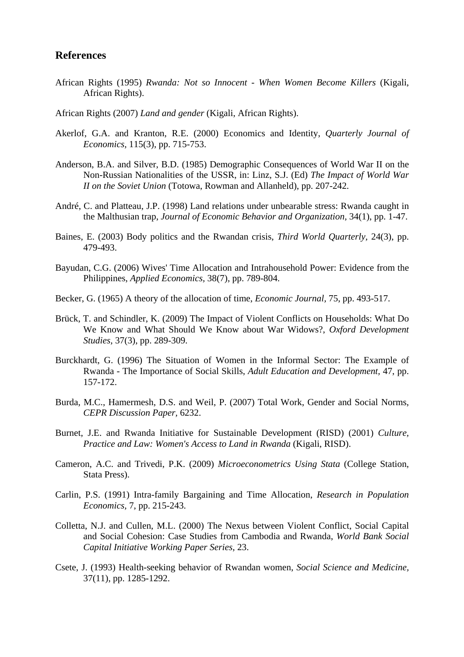#### **References**

- African Rights (1995) *Rwanda: Not so Innocent When Women Become Killers* (Kigali, African Rights).
- African Rights (2007) *Land and gender* (Kigali, African Rights).
- Akerlof, G.A. and Kranton, R.E. (2000) Economics and Identity, *Quarterly Journal of Economics,* 115(3), pp. 715-753.
- Anderson, B.A. and Silver, B.D. (1985) Demographic Consequences of World War II on the Non-Russian Nationalities of the USSR, in: Linz, S.J. (Ed) *The Impact of World War II on the Soviet Union* (Totowa, Rowman and Allanheld), pp. 207-242.
- André, C. and Platteau, J.P. (1998) Land relations under unbearable stress: Rwanda caught in the Malthusian trap, *Journal of Economic Behavior and Organization,* 34(1), pp. 1-47.
- Baines, E. (2003) Body politics and the Rwandan crisis, *Third World Quarterly,* 24(3), pp. 479-493.
- Bayudan, C.G. (2006) Wives' Time Allocation and Intrahousehold Power: Evidence from the Philippines, *Applied Economics,* 38(7), pp. 789-804.
- Becker, G. (1965) A theory of the allocation of time, *Economic Journal,* 75, pp. 493-517.
- Brück, T. and Schindler, K. (2009) The Impact of Violent Conflicts on Households: What Do We Know and What Should We Know about War Widows?, *Oxford Development Studies,* 37(3), pp. 289-309.
- Burckhardt, G. (1996) The Situation of Women in the Informal Sector: The Example of Rwanda - The Importance of Social Skills, *Adult Education and Development,* 47, pp. 157-172.
- Burda, M.C., Hamermesh, D.S. and Weil, P. (2007) Total Work, Gender and Social Norms, *CEPR Discussion Paper,* 6232.
- Burnet, J.E. and Rwanda Initiative for Sustainable Development (RISD) (2001) *Culture, Practice and Law: Women's Access to Land in Rwanda* (Kigali, RISD).
- Cameron, A.C. and Trivedi, P.K. (2009) *Microeconometrics Using Stata* (College Station, Stata Press).
- Carlin, P.S. (1991) Intra-family Bargaining and Time Allocation, *Research in Population Economics,* 7, pp. 215-243.
- Colletta, N.J. and Cullen, M.L. (2000) The Nexus between Violent Conflict, Social Capital and Social Cohesion: Case Studies from Cambodia and Rwanda, *World Bank Social Capital Initiative Working Paper Series,* 23.
- Csete, J. (1993) Health-seeking behavior of Rwandan women, *Social Science and Medicine,* 37(11), pp. 1285-1292.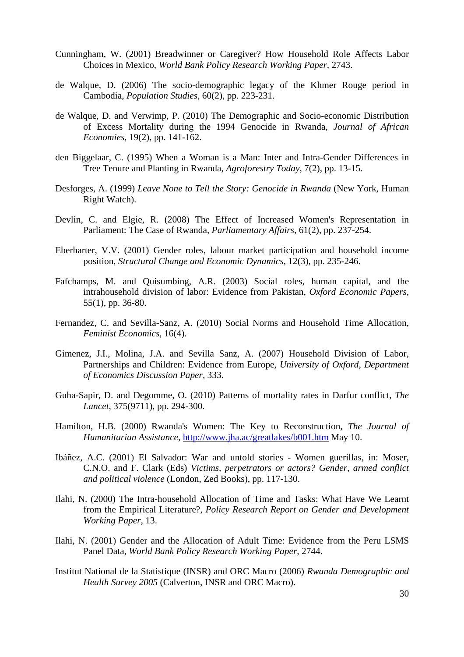- Cunningham, W. (2001) Breadwinner or Caregiver? How Household Role Affects Labor Choices in Mexico, *World Bank Policy Research Working Paper,* 2743.
- de Walque, D. (2006) The socio-demographic legacy of the Khmer Rouge period in Cambodia, *Population Studies,* 60(2), pp. 223-231.
- de Walque, D. and Verwimp, P. (2010) The Demographic and Socio-economic Distribution of Excess Mortality during the 1994 Genocide in Rwanda, *Journal of African Economies,* 19(2), pp. 141-162.
- den Biggelaar, C. (1995) When a Woman is a Man: Inter and Intra-Gender Differences in Tree Tenure and Planting in Rwanda, *Agroforestry Today,* 7(2), pp. 13-15.
- Desforges, A. (1999) *Leave None to Tell the Story: Genocide in Rwanda* (New York, Human Right Watch).
- Devlin, C. and Elgie, R. (2008) The Effect of Increased Women's Representation in Parliament: The Case of Rwanda, *Parliamentary Affairs,* 61(2), pp. 237-254.
- Eberharter, V.V. (2001) Gender roles, labour market participation and household income position, *Structural Change and Economic Dynamics,* 12(3), pp. 235-246.
- Fafchamps, M. and Quisumbing, A.R. (2003) Social roles, human capital, and the intrahousehold division of labor: Evidence from Pakistan, *Oxford Economic Papers,* 55(1), pp. 36-80.
- Fernandez, C. and Sevilla-Sanz, A. (2010) Social Norms and Household Time Allocation, *Feminist Economics,* 16(4).
- Gimenez, J.I., Molina, J.A. and Sevilla Sanz, A. (2007) Household Division of Labor, Partnerships and Children: Evidence from Europe, *University of Oxford, Department of Economics Discussion Paper,* 333.
- Guha-Sapir, D. and Degomme, O. (2010) Patterns of mortality rates in Darfur conflict, *The Lancet,* 375(9711), pp. 294-300.
- Hamilton, H.B. (2000) Rwanda's Women: The Key to Reconstruction, *The Journal of Humanitarian Assistance,* http://www.jha.ac/greatlakes/b001.htm May 10.
- Ibáñez, A.C. (2001) El Salvador: War and untold stories Women guerillas, in: Moser, C.N.O. and F. Clark (Eds) *Victims, perpetrators or actors? Gender, armed conflict and political violence* (London, Zed Books), pp. 117-130.
- Ilahi, N. (2000) The Intra-household Allocation of Time and Tasks: What Have We Learnt from the Empirical Literature?, *Policy Research Report on Gender and Development Working Paper,* 13.
- Ilahi, N. (2001) Gender and the Allocation of Adult Time: Evidence from the Peru LSMS Panel Data, *World Bank Policy Research Working Paper,* 2744.
- Institut National de la Statistique (INSR) and ORC Macro (2006) *Rwanda Demographic and Health Survey 2005* (Calverton, INSR and ORC Macro).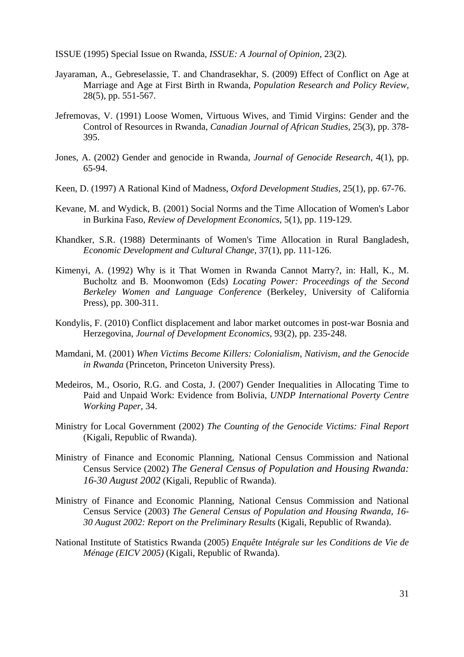ISSUE (1995) Special Issue on Rwanda, *ISSUE: A Journal of Opinion,* 23(2).

- Jayaraman, A., Gebreselassie, T. and Chandrasekhar, S. (2009) Effect of Conflict on Age at Marriage and Age at First Birth in Rwanda, *Population Research and Policy Review,* 28(5), pp. 551-567.
- Jefremovas, V. (1991) Loose Women, Virtuous Wives, and Timid Virgins: Gender and the Control of Resources in Rwanda, *Canadian Journal of African Studies,* 25(3), pp. 378- 395.
- Jones, A. (2002) Gender and genocide in Rwanda, *Journal of Genocide Research,* 4(1), pp. 65-94.
- Keen, D. (1997) A Rational Kind of Madness, *Oxford Development Studies,* 25(1), pp. 67-76.
- Kevane, M. and Wydick, B. (2001) Social Norms and the Time Allocation of Women's Labor in Burkina Faso, *Review of Development Economics,* 5(1), pp. 119-129.
- Khandker, S.R. (1988) Determinants of Women's Time Allocation in Rural Bangladesh, *Economic Development and Cultural Change,* 37(1), pp. 111-126.
- Kimenyi, A. (1992) Why is it That Women in Rwanda Cannot Marry?, in: Hall, K., M. Bucholtz and B. Moonwomon (Eds) *Locating Power: Proceedings of the Second Berkeley Women and Language Conference* (Berkeley, University of California Press), pp. 300-311.
- Kondylis, F. (2010) Conflict displacement and labor market outcomes in post-war Bosnia and Herzegovina, *Journal of Development Economics,* 93(2), pp. 235-248.
- Mamdani, M. (2001) *When Victims Become Killers: Colonialism, Nativism, and the Genocide in Rwanda* (Princeton, Princeton University Press).
- Medeiros, M., Osorio, R.G. and Costa, J. (2007) Gender Inequalities in Allocating Time to Paid and Unpaid Work: Evidence from Bolivia, *UNDP International Poverty Centre Working Paper,* 34.
- Ministry for Local Government (2002) *The Counting of the Genocide Victims: Final Report* (Kigali, Republic of Rwanda).
- Ministry of Finance and Economic Planning, National Census Commission and National Census Service (2002) *The General Census of Population and Housing Rwanda: 16-30 August 2002* (Kigali, Republic of Rwanda).
- Ministry of Finance and Economic Planning, National Census Commission and National Census Service (2003) *The General Census of Population and Housing Rwanda, 16- 30 August 2002: Report on the Preliminary Results* (Kigali, Republic of Rwanda).
- National Institute of Statistics Rwanda (2005) *Enquête Intégrale sur les Conditions de Vie de Ménage (EICV 2005)* (Kigali, Republic of Rwanda).